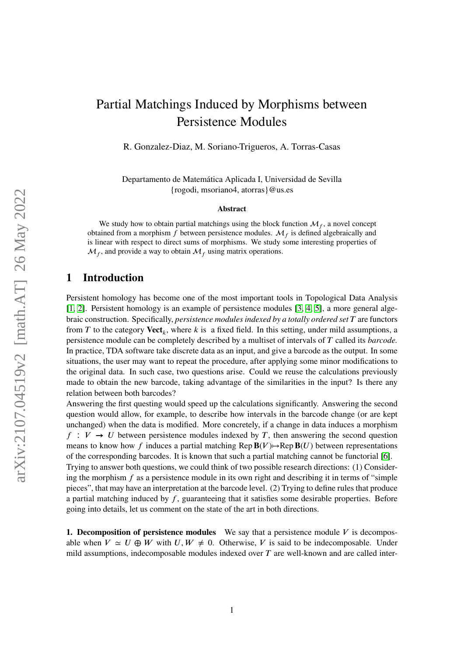# arXiv:2107.04519v2 [math.AT] 26 May 2022 arXiv:2107.04519v2 [math.AT] 26 May 2022

# Partial Matchings Induced by Morphisms between Persistence Modules

R. Gonzalez-Diaz, M. Soriano-Trigueros, A. Torras-Casas

Departamento de Matemática Aplicada I, Universidad de Sevilla {rogodi, msoriano4, atorras}@us.es

#### **Abstract**

We study how to obtain partial matchings using the block function  $\mathcal{M}_f$ , a novel concept obtained from a morphism  $\hat{f}$  between persistence modules.  $\mathcal{M}_{\hat{f}}$  is defined algebraically and is linear with respect to direct sums of morphisms. We study some interesting properties of  $\mathcal{M}_f$ , and provide a way to obtain  $\mathcal{M}_f$  using matrix operations.

## **1 Introduction**

Persistent homology has become one of the most important tools in Topological Data Analysis [\[1,](#page-17-0) [2\]](#page-18-0). Persistent homology is an example of persistence modules [\[3,](#page-18-1) [4,](#page-18-2) [5\]](#page-18-3), a more general algebraic construction. Specifically, *persistence modules indexed by a totally ordered set T* are functors from *T* to the category **Vect**<sub>*k*</sub>, where *k* is a fixed field. In this setting, under mild assumptions, a persistence module can be completely described by a multiset of intervals of *𝑇* called its *barcode.* In practice, TDA software take discrete data as an input, and give a barcode as the output. In some situations, the user may want to repeat the procedure, after applying some minor modifications to the original data. In such case, two questions arise. Could we reuse the calculations previously made to obtain the new barcode, taking advantage of the similarities in the input? Is there any relation between both barcodes?

Answering the first questing would speed up the calculations significantly. Answering the second question would allow, for example, to describe how intervals in the barcode change (or are kept unchanged) when the data is modified. More concretely, if a change in data induces a morphism  $f: V \rightarrow U$  between persistence modules indexed by *T*, then answering the second question means to know how *f* induces a partial matching Rep  $B(V) \rightarrow Rep B(U)$  between representations of the corresponding barcodes. It is known that such a partial matching cannot be functorial [\[6\]](#page-18-4). Trying to answer both questions, we could think of two possible research directions: (1) Considering the morphism *f* as a persistence module in its own right and describing it in terms of "simple pieces", that may have an interpretation at the barcode level. (2) Trying to define rules that produce a partial matching induced by *f*, guaranteeing that it satisfies some desirable properties. Before going into details, let us comment on the state of the art in both directions.

**1. Decomposition of persistence modules** We say that a persistence module *V* is decomposable when  $V \simeq U \oplus W$  with  $U, W \neq 0$ . Otherwise, *V* is said to be indecomposable. Under mild assumptions, indecomposable modules indexed over  $T$  are well-known and are called inter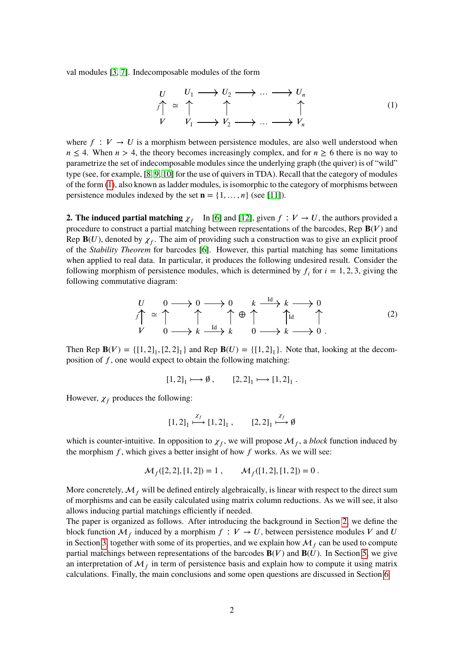val modules [\[3,](#page-18-1) [7\]](#page-18-5). Indecomposable modules of the form

<span id="page-1-0"></span>
$$
\begin{array}{ccc}\nU & U_1 \longrightarrow U_2 \longrightarrow \dots \longrightarrow U_n \\
f \uparrow & \uparrow & \uparrow & \uparrow \\
V & V_1 \longrightarrow V_2 \longrightarrow \dots \longrightarrow V_n\n\end{array} \tag{1}
$$

where  $f: V \to U$  is a morphism between persistence modules, are also well understood when  $n \leq 4$ . When  $n > 4$ , the theory becomes increasingly complex, and for  $n \geq 6$  there is no way to parametrize the set of indecomposable modules since the underlying graph (the quiver) is of "wild" type (see, for example, [\[8,](#page-18-6) [9,](#page-18-7) [10\]](#page-18-8) for the use of quivers in TDA). Recall that the category of modules of the form [\(1\)](#page-1-0), also known as ladder modules, is isomorphic to the category of morphisms between persistence modules indexed by the set  $\mathbf{n} = \{1, \ldots, n\}$  (see [\[11\]](#page-18-9)).

**2. The induced partial matching**  $\chi_f$  In [\[6\]](#page-18-4) and [\[12\]](#page-18-10), given  $f: V \to U$ , the authors provided a procedure to construct a partial matching between representations of the barcodes, Rep  $B(V)$  and Rep  $B(U)$ , denoted by  $\chi_f$ . The aim of providing such a construction was to give an explicit proof of the *Stability Theorem* for barcodes [\[6\]](#page-18-4). However, this partial matching has some limitations when applied to real data. In particular, it produces the following undesired result. Consider the following morphism of persistence modules, which is determined by  $f_i$  for  $i = 1, 2, 3$ , giving the following commutative diagram:

<span id="page-1-1"></span>
$$
U \qquad 0 \longrightarrow 0 \longrightarrow 0 \qquad k \xrightarrow{Id} k \longrightarrow 0
$$
  
\n
$$
V \qquad 0 \longrightarrow k \xrightarrow{Id} k \qquad 0 \longrightarrow k \longrightarrow 0
$$
  
\n
$$
V \qquad 0 \longrightarrow k \xrightarrow{Id} k \qquad 0 \longrightarrow k \longrightarrow 0
$$
 (2)

Then Rep  $B(V) = \{ [1, 2]_1, [2, 2]_1 \}$  and Rep  $B(U) = \{ [1, 2]_1 \}$ . Note that, looking at the decomposition of *𝑓*, one would expect to obtain the following matching:

$$
[1,2]_1 \longmapsto \emptyset, \qquad [2,2]_1 \longmapsto [1,2]_1.
$$

However,  $\chi_f$  produces the following:

$$
[1,2]_1 \xrightarrow{\chi_f} [1,2]_1, \qquad [2,2]_1 \xrightarrow{\chi_f} \emptyset
$$

which is counter-intuitive. In opposition to  $\chi_f$ , we will propose  $\mathcal{M}_f$ , a *block* function induced by the morphism  $f$ , which gives a better insight of how  $f$  works. As we will see:

$$
\mathcal{M}_f([2,2],[1,2]) = 1 , \qquad \mathcal{M}_f([1,2],[1,2]) = 0 .
$$

More concretely,  $M_f$  will be defined entirely algebraically, is linear with respect to the direct sum of morphisms and can be easily calculated using matrix column reductions. As we will see, it also allows inducing partial matchings efficiently if needed.

The paper is organized as follows. After introducing the background in Section [2,](#page-2-0) we define the block function  $\mathcal{M}_f$  induced by a morphism  $f: V \to U$ , between persistence modules V and U in Section [3,](#page-6-0) together with some of its properties, and we explain how  $\mathcal{M}_f$  can be used to compute partial matchings between representations of the barcodes  $\mathbf{B}(V)$  and  $\mathbf{B}(U)$ . In Section [5,](#page-13-0) we give an interpretation of  $\mathcal{M}_f$  in term of persistence basis and explain how to compute it using matrix calculations. Finally, the main conclusions and some open questions are discussed in Section [6.](#page-17-1)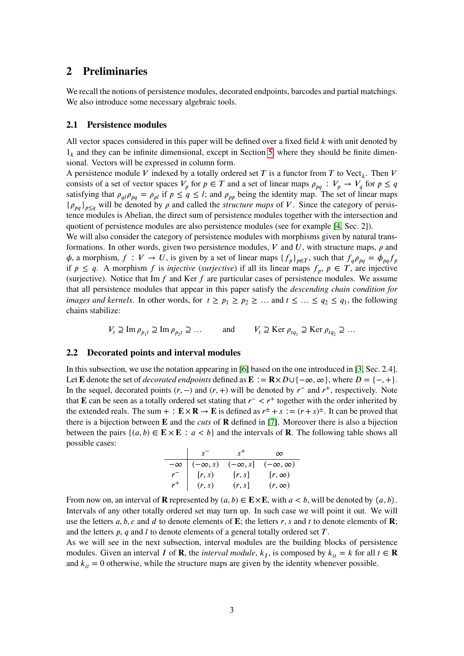## <span id="page-2-0"></span>**2 Preliminaries**

We recall the notions of persistence modules, decorated endpoints, barcodes and partial matchings. We also introduce some necessary algebraic tools.

#### **2.1 Persistence modules**

All vector spaces considered in this paper will be defined over a fixed field *k* with unit denoted by  $1_k$  and they can be infinite dimensional, except in Section [5,](#page-13-0) where they should be finite dimensional. Vectors will be expressed in column form.

A persistence module *V* indexed by a totally ordered set *T* is a functor from *T* to Vect<sub>*k*</sub>. Then *V* consists of a set of vector spaces  $V_p$  for  $p \in T$  and a set of linear maps  $\rho_{pq} : V_p \to V_q$  for  $p \le q$ satisfying that  $\rho_{ql} \rho_{pq} = \rho_{pl}$  if  $p \le q \le l$ ; and  $\rho_{pp}$  being the identity map. The set of linear maps  ${\rho_{pq}}_{p \leq q}$  will be denoted by  $\rho$  and called the *structure maps* of *V*. Since the category of persistence modules is Abelian, the direct sum of persistence modules together with the intersection and quotient of persistence modules are also persistence modules (see for example [\[4,](#page-18-2) Sec. 2]).

We will also consider the category of persistence modules with morphisms given by natural transformations. In other words, given two persistence modules,  $V$  and  $U$ , with structure maps,  $\rho$  and  $\phi$ , a morphism,  $f: V \to U$ , is given by a set of linear maps  $\{f_p\}_{p \in T}$ , such that  $f_q \rho_{pq} = \phi_{pq} f_p$ if  $p \le q$ . A morphism *f* is *injective* (*surjective*) if all its linear maps  $f_p$ ,  $p \in T$ , are injective (surjective). Notice that  $\text{Im } f$  and  $\text{Ker } f$  are particular cases of persistence modules. We assume that all persistence modules that appear in this paper satisfy the *descending chain condition for images and kernels.* In other words, for  $t \ge p_1 \ge p_2 \ge \dots$  and  $t \le \dots \le q_2 \le q_1$ , the following chains stabilize:

$$
V_t \supseteq \text{Im } \rho_{p_1 t} \supseteq \text{Im } \rho_{p_2 t} \supseteq \dots \quad \text{and} \quad V_t \supseteq \text{Ker } \rho_{t q_1} \supseteq \text{Ker } \rho_{t q_2} \supseteq \dots
$$

#### **2.2 Decorated points and interval modules**

In this subsection, we use the notation appearing in [\[6\]](#page-18-4) based on the one introduced in [\[3,](#page-18-1) Sec. 2.4]. Let **E** denote the set of *decorated endpoints* defined as  $\mathbf{E} := \mathbf{R} \times D \cup \{-\infty, \infty\}$ , where  $D = \{-, +\}.$ In the sequel, decorated points  $(r, -)$  and  $(r, +)$  will be denoted by  $r^-$  and  $r^+$ , respectively. Note that **E** can be seen as a totally ordered set stating that  $r<sup>−</sup> < r<sup>+</sup>$  together with the order inherited by the extended reals. The sum + :  $\mathbf{E} \times \mathbf{R} \to \mathbf{E}$  is defined as  $r^{\pm} + s := (r + s)^{\pm}$ . It can be proved that there is a bijection between  $\bf{E}$  and the *cuts* of  $\bf{R}$  defined in [\[7\]](#page-18-5). Moreover there is also a bijection between the pairs  $\{(a, b) \in \mathbf{E} \times \mathbf{E} : a < b\}$  and the intervals of **R**. The following table shows all possible cases:

|           | $S^{-}$        | $S^+$          | $\infty$            |
|-----------|----------------|----------------|---------------------|
| $-\infty$ | $(-\infty, s)$ | $(-\infty, s]$ | $(-\infty, \infty)$ |
| $r^-$     | [r,s)          | r, s           | $[r, \infty)$       |
| $r^+$     | (r, s)         | (r, s)         | $(r, \infty)$       |

From now on, an interval of **R** represented by  $(a, b) \in E \times E$ , with  $a < b$ , will be denoted by  $(a, b)$ . Intervals of any other totally ordered set may turn up. In such case we will point it out. We will use the letters  $a, b, c$  and  $d$  to denote elements of **E**; the letters  $r, s$  and  $t$  to denote elements of **R**; and the letters *p*, *q* and *l* to denote elements of a general totally ordered set *T*.

As we will see in the next subsection, interval modules are the building blocks of persistence modules. Given an interval *I* of **R**, the *interval module*,  $k_I$ , is composed by  $k_{it} = k$  for all  $t \in \mathbb{R}$ and  $k_{it} = 0$  otherwise, while the structure maps are given by the identity whenever possible.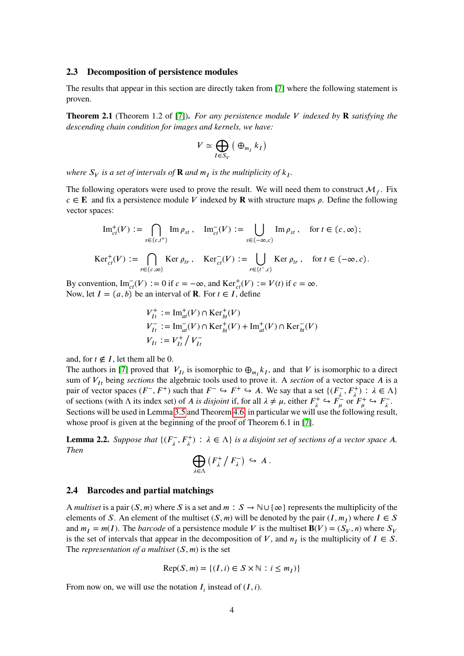#### <span id="page-3-0"></span>**2.3 Decomposition of persistence modules**

The results that appear in this section are directly taken from [\[7\]](#page-18-5) where the following statement is proven.

**Theorem 2.1** (Theorem 1.2 of [\[7\]](#page-18-5)). *For any persistence module V* indexed by **R** satisfying the *descending chain condition for images and kernels, we have:*

$$
V \simeq \bigoplus_{I \in S_V} \left( \bigoplus_{m_I} k_I \right)
$$

where  $S_V$  is a set of intervals of  $\bf R$  and  $m_I$  is the multiplicity of  $k_I$ .

The following operators were used to prove the result. We will need them to construct  $\mathcal{M}_f$ . Fix  $c \in \mathbf{E}$  and fix a persistence module *V* indexed by **R** with structure maps  $\rho$ . Define the following vector spaces:

$$
\mathrm{Im}^+_{ct}(V) := \bigcap_{s \in (c,t^+)} \mathrm{Im}\,\rho_{st}\,, \quad \mathrm{Im}^-_{ct}(V) := \bigcup_{s \in (-\infty,c)} \mathrm{Im}\,\rho_{st}\,, \quad \text{for } t \in (c,\infty);
$$

$$
\operatorname{Ker}^+_{ct}(V) := \bigcap_{r \in (c,\infty)} \operatorname{Ker} \rho_{tr}, \quad \operatorname{Ker}^-_{ct}(V) := \bigcup_{r \in (t^-,c)} \operatorname{Ker} \rho_{tr}, \quad \text{for } t \in (-\infty,c).
$$

By convention,  $\text{Im}_{ct}^{-}(V) := 0$  if  $c = -\infty$ , and  $\text{Ker}_{ct}^{+}(V) := V(t)$  if  $c = \infty$ . Now, let  $I = (a, b)$  be an interval of **R**. For  $t \in I$ , define

$$
V_{It}^{+} := \text{Im}_{at}^{+}(V) \cap \text{Ker}_{bt}^{+}(V)
$$
  
\n
$$
V_{It}^{-} := \text{Im}_{at}^{-}(V) \cap \text{Ker}_{bt}^{+}(V) + \text{Im}_{at}^{+}(V) \cap \text{Ker}_{bt}^{-}(V)
$$
  
\n
$$
V_{It} := V_{It}^{+} / V_{It}^{-}
$$

and, for  $t \notin I$ , let them all be 0.

The authors in [\[7\]](#page-18-5) proved that  $V_{It}$  is isomorphic to  $\bigoplus_{m_I} k_I$ , and that *V* is isomorphic to a direct sum of  $V_{I}$ <sup>*b*</sup> being *sections* the algebraic tools used to prove it. A *section* of a vector space *A* is a pair of vector spaces  $(F^-, F^+)$  such that  $F^- \hookrightarrow F^+ \hookrightarrow A$ . We say that a set  $\{(F^-_n, F^+)_n\}$  $\lambda^-, F_\lambda^+$  :  $\lambda \in \Lambda$ of sections (with  $\Lambda$  its index set) of *A* is disjoint if, for all  $\lambda \neq \mu$ , either  $F_{\lambda}^+ \hookrightarrow F_{\mu}^-$  or  $F_{\mu}^+ \hookrightarrow F_{\lambda}^-$ <sup>7—</sup>. Sections will be used in Lemma [3.5](#page-8-0) and Theorem [4.6,](#page-12-0) in particular we will use the following result, whose proof is given at the beginning of the proof of Theorem 6.1 in [\[7\]](#page-18-5).

<span id="page-3-1"></span>**Lemma 2.2.** *Suppose that*  $\{F_i^-\}$  $\mathcal{L}_{\lambda}^{-}$ ,  $F_{\lambda}^{+}$  :  $\lambda \in \Lambda$  *is a disjoint set of sections of a vector space A*. *Then*  $\Gamma$ 

$$
\bigoplus_{\lambda\in\Lambda}\left(F_{\lambda}^{+}\big/\,F_{\lambda}^{-}\right)\,\hookrightarrow\,A\;.
$$

#### **2.4 Barcodes and partial matchings**

A *multiset* is a pair  $(S, m)$  where *S* is a set and  $m : S \to \mathbb{N} \cup \{ \infty \}$  represents the multiplicity of the elements of *S*. An element of the multiset  $(S, m)$  will be denoted by the pair  $(I, m_I)$  where  $I \in S$ and  $m_I = m(I)$ . The *barcode* of a persistence module *V* is the multiset  $\mathbf{B}(V) = (S_V, n)$  where  $S_V$ is the set of intervals that appear in the decomposition of *V*, and  $n<sub>I</sub>$  is the multiplicity of  $I \in S$ . The *representation of a multiset*  $(S, m)$  is the set

$$
Rep(S, m) = \{(I, i) \in S \times \mathbb{N} : i \le m_I)\}\
$$

From now on, we will use the notation  $I_i$  instead of  $(I, i)$ .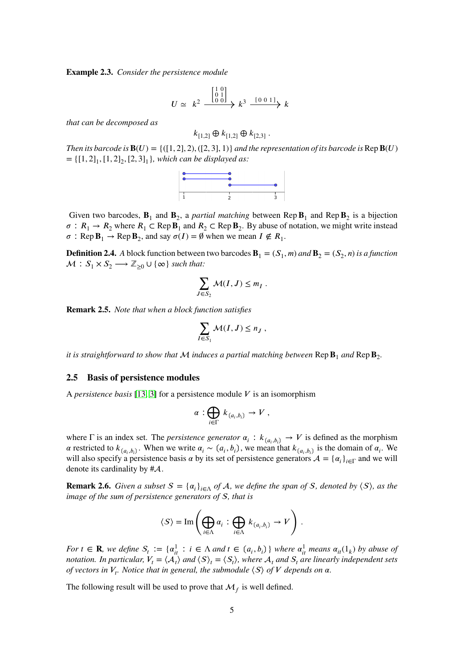**Example 2.3.** *Consider the persistence module*

$$
U \simeq k^2 \xrightarrow{\begin{bmatrix} 1 & 0 \\ 0 & 1 \\ 0 & 0 \end{bmatrix}} k^3 \xrightarrow{\begin{bmatrix} 0 & 0 & 1 \end{bmatrix}} k
$$

*that can be decomposed as*

$$
k_{[1,2]} \oplus k_{[1,2]} \oplus k_{[2,3]}.
$$

*Then its barcode is*  $\mathbf{B}(U) = \{([1, 2], 2), ([2, 3], 1)\}$  *and the representation of its barcode is*  $\mathbf{Rep} \mathbf{B}(U)$  $= \{ [1, 2]_1, [1, 2]_2, [2, 3]_1 \}$ , which can be displayed as:



Given two barcodes,  $\mathbf{B}_1$  and  $\mathbf{B}_2$ , a *partial matching* between Rep  $\mathbf{B}_1$  and Rep  $\mathbf{B}_2$  is a bijection  $\sigma$ :  $R_1 \rightarrow R_2$  where  $R_1 \subset \text{Rep } \mathbf{B}_1$  and  $R_2 \subset \text{Rep } \mathbf{B}_2$ . By abuse of notation, we might write instead  $\sigma$ : Rep  $\mathbf{B}_1 \to \text{Rep } \mathbf{B}_2$ , and say  $\sigma(I) = \emptyset$  when we mean  $I \notin R_1$ .

**Definition 2.4.** *A* block function between two barcodes  $\mathbf{B}_1 = (S_1, m)$  and  $\mathbf{B}_2 = (S_2, n)$  is a function  $\mathcal{M}: S_1 \times S_2 \longrightarrow \mathbb{Z}_{\geq 0} \cup \{\infty\}$  *such that:* 

$$
\sum_{J \in S_2} \mathcal{M}(I, J) \leq m_I \; .
$$

<span id="page-4-1"></span>**Remark 2.5.** *Note that when a block function satisfies*

$$
\sum_{I\in S_1} \mathcal{M}(I,J) \leq n_J,
$$

*it is straightforward to show that*  ${\cal M}$  *induces a partial matching between*  ${\mathbf Rep} {\bf B}_1$  *and*  ${\mathbf Rep} {\bf B}_2$ .

#### **2.5 Basis of persistence modules**

A *persistence basis* [\[13,](#page-18-11) [3\]](#page-18-1) for a persistence module  $V$  is an isomorphism

$$
\alpha:\bigoplus_{i\in\Gamma}k_{(a_i,b_i)}\to V\ ,
$$

where  $\Gamma$  is an index set. The *persistence generator*  $\alpha_i : k_{(a_i, b_i)} \to V$  is defined as the morphism  $\alpha$  restricted to  $k_{(a_i,b_i)}$ . When we write  $\alpha_i \sim (a_i, b_i)$ , we mean that  $k_{(a_i,b_i)}$  is the domain of  $\alpha_i$ . We will also specify a persistence basis  $\alpha$  by its set of persistence generators  $\mathcal{A} = {\alpha_i}_{i \in \Gamma}$  and we will denote its cardinality by  $\#\mathcal{A}$ .

<span id="page-4-0"></span>**Remark 2.6.** *Given a subset*  $S = \{a_i\}_{i \in \Lambda}$  *of*  $A$ *, we define the span of*  $S$ *, denoted by*  $\langle S \rangle$ *, as the image of the sum of persistence generators of* S, that is

$$
\langle S \rangle = \text{Im} \left( \bigoplus_{i \in \Lambda} \alpha_i \, : \, \bigoplus_{i \in \Lambda} \, k_{(a_i,b_i)} \to V \right) \, .
$$

For  $t \in \mathbf{R}$ , we define  $S_t := \{a_{it}^1 : i \in \Lambda \text{ and } t \in (a_i, b_i)\}\$  where  $a_{it}^1$  means  $a_{it}(1_k)$  by abuse of *notation. In particular,*  $V_t = \langle A_t \rangle$  *and*  $\langle S \rangle_t = \langle S_t \rangle$ *, where*  $A_t$  *and*  $S_t$  *are linearly independent sets of vectors in*  $V_t$ *. Notice that in general, the submodule*  $\langle S \rangle$  *of*  $V$  *depends on*  $\alpha$ *.* 

The following result will be used to prove that  $\mathcal{M}_f$  is well defined.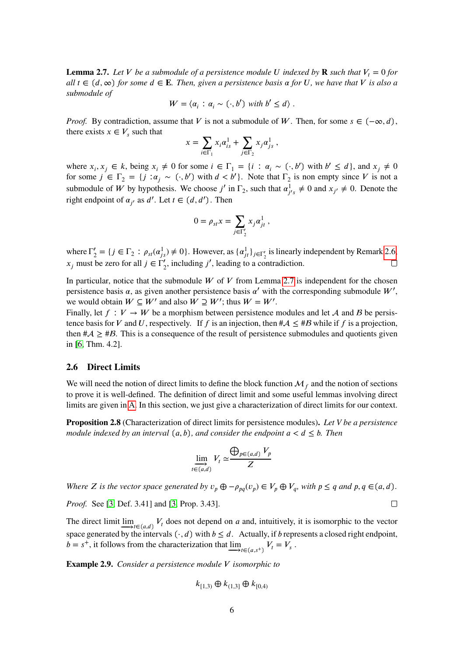<span id="page-5-0"></span>**Lemma 2.7.** *Let V be a submodule of a persistence module U indexed by* **R** *such that*  $V_t = 0$  *for*  $all \ t \in (d, \infty)$  for some  $d \in \mathbf{E}$ . Then, given a persistence basis  $\alpha$  for U, we have that V is also a *submodule of*

$$
W = \langle \alpha_i : \alpha_i \sim (\cdot, b') \text{ with } b' \leq d \rangle.
$$

*Proof.* By contradiction, assume that *V* is not a submodule of *W*. Then, for some  $s \in (-\infty, d)$ , there exists  $x \in V_s$  such that ∑ ∑

$$
x = \sum_{i \in \Gamma_1} x_i \alpha_{is}^1 + \sum_{j \in \Gamma_2} x_j \alpha_{js}^1,
$$

where  $x_i, x_j \in k$ , being  $x_i \neq 0$  for some  $i \in \Gamma_1 = \{i : \alpha_i \sim (\cdot, b') \text{ with } b' \leq d\}$ , and  $x_j \neq 0$ for some  $j \in \Gamma_2 = \{j : \alpha_j \sim (\cdot, b') \text{ with } d < b'\}$ . Note that  $\Gamma_2$  is non empty since *V* is not a submodule of *W* by hypothesis. We choose *j'* in  $\Gamma_2$ , such that  $\alpha_i^1$  $j'_{j's} \neq 0$  and  $x_{j'} \neq 0$ . Denote the right endpoint of  $\alpha_{j'}$  as  $d'$ . Let  $t \in (d, d')$ . Then

$$
0 = \rho_{st} x = \sum_{j \in \Gamma_2'} x_j \alpha_{jt}^1,
$$

where  $\Gamma'_2$  $\mathcal{L}'_2 = \{j \in \Gamma_2 : \rho_{st}(\alpha_{js}^1) \neq 0\}$ . However, as  $\{\alpha_{jt}^1\}_{j \in \Gamma'_2}$  is linearly independent by Remark [2.6,](#page-4-0)  $x_j$  must be zero for all  $j \in \Gamma'_2$ , including  $j'$ , leading to a contradiction.

In particular, notice that the submodule  $W$  of  $V$  from Lemma [2.7](#page-5-0) is independent for the chosen persistence basis  $\alpha$ , as given another persistence basis  $\alpha'$  with the corresponding submodule  $W'$ , we would obtain  $W \subseteq W'$  and also  $W \supseteq W'$ ; thus  $W = W'$ .

Finally, let  $f: V \to W$  be a morphism between persistence modules and let A and B be persistence basis for *V* and *U*, respectively. If *f* is an injection, then  $\#\mathcal{A} \leq \#B$  while if *f* is a projection, then  $\#\mathcal{A} \geq \#\mathcal{B}$ . This is a consequence of the result of persistence submodules and quotients given in [\[6,](#page-18-4) Thm. 4.2].

#### **2.6 Direct Limits**

We will need the notion of direct limits to define the block function  $\mathcal{M}_f$  and the notion of sections to prove it is well-defined. The definition of direct limit and some useful lemmas involving direct limits are given in [A.](#page-19-0) In this section, we just give a characterization of direct limits for our context.

**Proposition 2.8** (Characterization of direct limits for persistence modules)**.** *Let V be a persistence module indexed by an interval*  $(a, b)$ , and consider the endpoint  $a < d \leq b$ . Then

$$
\lim_{t \in (a,d)} V_t \simeq \frac{\bigoplus_{p \in (a,d)} V_p}{Z}
$$

Where Z is the vector space generated by  $v_p \oplus -\rho_{pq}(v_p) \in V_p \oplus V_q$ , with  $p \le q$  and  $p, q \in (a, d)$ .

*Proof.* See [\[3,](#page-18-1) Def. 3.41] and [\[3,](#page-18-1) Prop. 3.43].

The direct limit  $\underline{\lim}_{t \to t \in (a,d)} V_t$  does not depend on *a* and, intuitively, it is isomorphic to the vector space generated by the intervals  $(·, d)$  with  $b \le d$ . Actually, if *b* represents a closed right endpoint,  $b = s^+$ , it follows from the characterization that  $\underline{\lim}_{t \to t \in (a,s^+)} V_t = V_s$ .

**Example 2.9.** *Consider a persistence module V isomorphic to* 

$$
k_{[1,3)} \oplus k_{(1,3]} \oplus k_{[0,4)}
$$

 $\Box$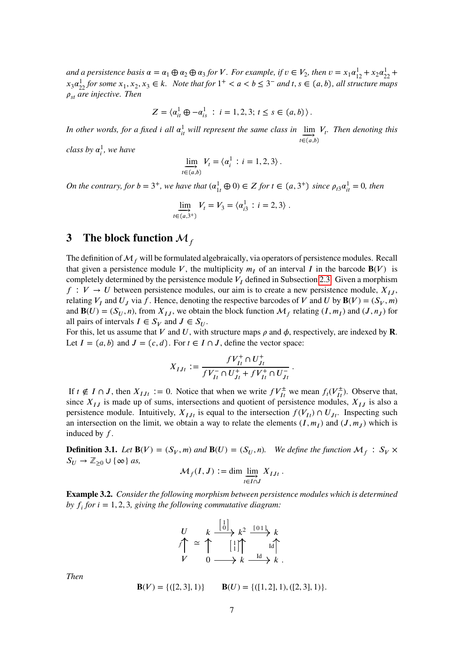and a persistence basis  $\alpha = \alpha_1 \oplus \alpha_2 \oplus \alpha_3$  for *V*. For example, if  $v \in V_2$ , then  $v = x_1 \alpha_{12}^1 + x_2 \alpha_{22}^1 + x_3 \alpha_{32}^2$  $x_3a_{22}^1$  *for some*  $x_1, x_2, x_3 \in k$ . Note that for  $1^+ < a < b \leq 3^-$  and  $t, s \in (a, b)$ , all structure maps  $\rho_{st}$  are injective. Then

$$
Z = \langle a_{it}^1 \oplus -a_{is}^1 : i = 1, 2, 3; t \le s \in (a, b) \rangle.
$$

In other words, for a fixed *i* all  $\alpha_{it}^1$  will represent the same class in  $\lim_{t \to \infty} V_t$ . Then denoting this  $t \in (a, b)$ 

*class by*  $\alpha_i^1$ *, we have* 

$$
\lim_{t \in (a,b)} V_t = \langle \alpha_i^1 : i = 1, 2, 3 \rangle.
$$

*On the contrary, for*  $b = 3^+$ *, we have that*  $(\alpha_{1t}^1 \oplus 0) \in Z$  *for*  $t \in (a, 3^+)$  *since*  $\rho_{t3} \alpha_{it}^1 = 0$ *, then* 

$$
\lim_{t \in (a,3^+)} V_t = V_3 = \langle \alpha_{i3}^1 : i = 2,3 \rangle.
$$

# <span id="page-6-0"></span>**3** The block function  $M_f$

The definition of  $\mathcal{M}_f$  will be formulated algebraically, via operators of persistence modules. Recall that given a persistence module *V*, the multiplicity  $m<sub>I</sub>$  of an interval *I* in the barcode **B**(*V*) is completely determined by the persistence module  $V_I$  defined in Subsection [2.3.](#page-3-0) Given a morphism  $f: V \to U$  between persistence modules, our aim is to create a new persistence module,  $X_{IJ}$ , relating  $V_I$  and  $U_J$  via  $f$ . Hence, denoting the respective barcodes of  $V$  and  $U$  by  $\mathbf{B}(V) = (S_V, m)$ and **B**(*U*) = ( $S_U$ , *n*), from  $X_{IJ}$ , we obtain the block function  $\mathcal{M}_f$  relating (*I*,  $m_I$ ) and (*J*,  $n_J$ ) for all pairs of intervals  $I \in S_V$  and  $J \in S_U$ .

For this, let us assume that *V* and *U*, with structure maps  $\rho$  and  $\phi$ , respectively, are indexed by **R**. Let  $I = (a, b)$  and  $J = (c, d)$ . For  $t \in I \cap J$ , define the vector space:

$$
X_{IJt} := \frac{fV^+_{It}\cap U^+_{Jt}}{fV^-_{It}\cap U^+_{Jt}+fV^+_{It}\cap U^-_{Jt}}\,.
$$

If  $t \notin I \cap J$ , then  $X_{IJt} := 0$ . Notice that when we write  $fV^{\pm}_{It}$  we mean  $f_t(V^{\pm}_{It})$ . Observe that, since  $X_{IJ}$  is made up of sums, intersections and quotient of persistence modules,  $X_{IJ}$  is also a persistence module. Intuitively,  $X_{I,It}$  is equal to the intersection  $f(V_{It}) \cap U_{It}$ . Inspecting such an intersection on the limit, we obtain a way to relate the elements  $(I, m_I)$  and  $(J, m_J)$  which is induced by *f*.

**Definition 3.1.** Let  $\mathbf{B}(V) = (S_V, m)$  and  $\mathbf{B}(U) = (S_U, n)$ . We define the function  $\mathcal{M}_f : S_V \times$  $S_U \to \mathbb{Z}_{\geq 0} \cup \{\infty\}$  *as,* 

$$
\mathcal{M}_f(I,J) := \dim \varinjlim_{t \in I \cap J} X_{IJt} \, .
$$

**Example 3.2.** *Consider the following morphism between persistence modules which is determined by*  $f_i$  *for*  $i = 1, 2, 3$ *, giving the following commutative diagram:* 

$$
\begin{array}{ccc}\nU & k \xrightarrow{\begin{bmatrix} 1 \\ 0 \end{bmatrix}} k^2 \xrightarrow{\begin{bmatrix} 0 & 1 \\ 1 & 1 \end{bmatrix}} k \\
V & 0 \longrightarrow k \xrightarrow{\begin{bmatrix} 1 & 1 \\ 1 & 1 \end{bmatrix}} k \end{array}.
$$

*Then*

$$
\mathbf{B}(V) = \{ ([2, 3], 1) \} \qquad \mathbf{B}(U) = \{ ([1, 2], 1), ([2, 3], 1) \}.
$$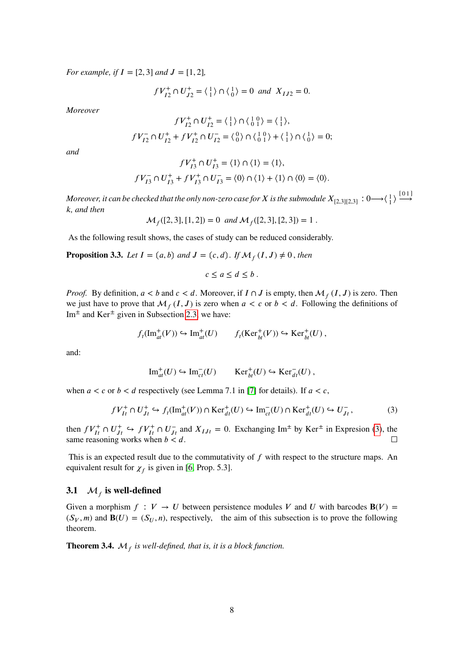*For example, if*  $I = [2, 3]$  *and*  $J = [1, 2]$ *,* 

$$
fV_{I2}^+ \cap U_{J2}^+ = \langle 1 \rangle \cap \langle 0 \rangle = 0
$$
 and  $X_{IJ2} = 0$ .

*Moreover*

$$
fV_{I2}^+ \cap U_{I2}^+ = \langle \begin{smallmatrix} 1 \\ 1 \end{smallmatrix} \rangle \cap \langle \begin{smallmatrix} 1 & 0 \\ 0 & 1 \end{smallmatrix} \rangle = \langle \begin{smallmatrix} 1 \\ 1 \end{smallmatrix} \rangle,
$$
  

$$
fV_{I2}^- \cap U_{I2}^+ + fV_{I2}^+ \cap U_{I2}^- = \langle \begin{smallmatrix} 0 \\ 0 \end{smallmatrix} \rangle \cap \langle \begin{smallmatrix} 1 & 0 \\ 0 & 1 \end{smallmatrix} \rangle + \langle \begin{smallmatrix} 1 \\ 1 \end{smallmatrix} \rangle \cap \langle \begin{smallmatrix} 1 \\ 0 \end{smallmatrix} \rangle = 0;
$$

*and*

$$
fV_{I3}^+\cap U_{I3}^+=\langle 1\rangle\cap\langle 1\rangle=\langle 1\rangle,
$$
  

$$
fV_{I3}^-\cap U_{I3}^++fV_{I3}^+\cap U_{I3}^-=\langle 0\rangle\cap\langle 1\rangle+\langle 1\rangle\cap\langle 0\rangle=\langle 0\rangle.
$$

Moreover, it can be checked that the only non-zero case for  $X$  is the submodule  $X_{[2,3][2,3]}:0{\longrightarrow}\langle\frac14\rangle\stackrel{[0\,1]}{\longrightarrow}$ *𝑘, and then*

$$
\mathcal{M}_f([2,3],[1,2]) = 0 \text{ and } \mathcal{M}_f([2,3],[2,3]) = 1.
$$

As the following result shows, the cases of study can be reduced considerably.

<span id="page-7-1"></span>**Proposition 3.3.** *Let*  $I = (a, b)$  and  $J = (c, d)$ . If  $\mathcal{M}_f(I, J) \neq 0$ , then

$$
c \le a \le d \le b.
$$

*Proof.* By definition,  $a < b$  and  $c < d$ . Moreover, if  $I \cap J$  is empty, then  $\mathcal{M}_f(I, J)$  is zero. Then we just have to prove that  $\mathcal{M}_f(I, J)$  is zero when  $a < c$  or  $b < d$ . Following the definitions of Im<sup> $\pm$ </sup> and Ker<sup> $\pm$ </sup> given in Subsection [2.3,](#page-3-0) we have:

$$
f_t(\mathrm{Im}^+_{at}(V)) \hookrightarrow \mathrm{Im}^+_{at}(U) \qquad f_t(\mathrm{Ker}^+_{bt}(V)) \hookrightarrow \mathrm{Ker}^+_{bt}(U) ,
$$

and:

$$
\operatorname{Im}^+_{at}(U) \hookrightarrow \operatorname{Im}^-_{ct}(U) \qquad \operatorname{Ker}^+_{bt}(U) \hookrightarrow \operatorname{Ker}^-_{dt}(U) ,
$$

when  $a < c$  or  $b < d$  respectively (see Lemma 7.1 in [\[7\]](#page-18-5) for details). If  $a < c$ ,

<span id="page-7-0"></span>
$$
fV_{It}^+ \cap U_{Jt}^+ \hookrightarrow f_t(\text{Im}^+_{at}(V)) \cap \text{Ker}^+_{dt}(U) \hookrightarrow \text{Im}^-_{ct}(U) \cap \text{Ker}^+_{dt}(U) \hookrightarrow U_{Jt}^-,
$$
 (3)

then  $fV_{It}^+ \cap U_{Jt}^+ \hookrightarrow fV_{It}^+ \cap U_{Jt}^-$  and  $X_{I,t} = 0$ . Exchanging Im<sup> $\pm$ </sup> by Ker<sup> $\pm$ </sup> in Expresion [\(3\)](#page-7-0), the same reasoning works when  $b < d$ .

This is an expected result due to the commutativity of f with respect to the structure maps. An equivalent result for  $\chi_f$  is given in [\[6,](#page-18-4) Prop. 5.3].

# **3.1**  $\mathcal{M}_f$  is well-defined

Given a morphism  $f: V \to U$  between persistence modules V and U with barcodes  $B(V)$  =  $(S_V, m)$  and  $\mathbf{B}(U) = (S_U, n)$ , respectively, the aim of this subsection is to prove the following theorem.

<span id="page-7-2"></span>**Theorem 3.4.**  $\mathcal{M}_f$  is well-defined, that is, it is a block function.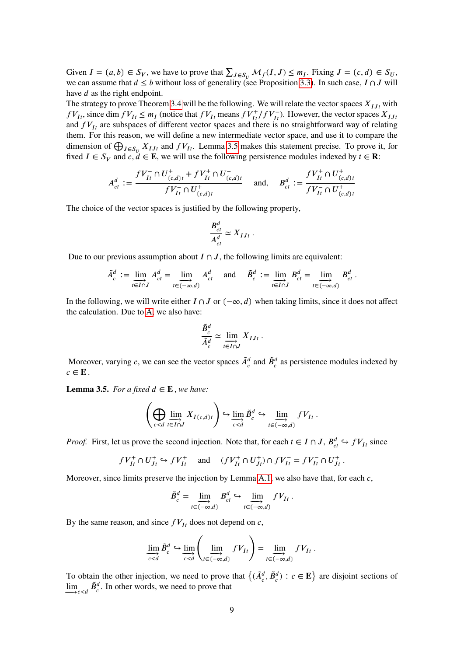Given  $I = (a, b) \in S_V$ , we have to prove that  $\sum_{J \in S_U} M_f(I, J) \leq m_I$ . Fixing  $J = (c, d) \in S_U$ , we can assume that  $d \leq b$  without loss of generality (see Proposition [3.3\)](#page-7-1). In such case,  $I \cap J$  will have *d* as the right endpoint.

The strategy to prove Theorem [3.4](#page-7-2) will be the following. We will relate the vector spaces  $X_{I J t}$  with  $fV_{I}$ , since dim  $fV_{I} \leq m_I$  (notice that  $fV_{I}$  means  $fV_{I}^+/fV_{I}^-$ ). However, the vector spaces  $X_{I}$ <sub>*Ist*</sub> and  $fV_{It}$  are subspaces of different vector spaces and there is no straightforward way of relating them. For this reason, we will define a new intermediate vector space, and use it to compare the dimension of  $\bigoplus_{J \in S_U} X_{IJ}$  and  $fV_{I}$ . Lemma [3.5](#page-8-0) makes this statement precise. To prove it, for fixed  $I \in S_V$  and  $c, d \in E$ , we will use the following persistence modules indexed by  $t \in \mathbb{R}$ :

$$
A_{ct}^d := \frac{fV_{It}^- \cap U_{(c,d)t}^+ + fV_{It}^+ \cap U_{(c,d)t}^-}{fV_{It}^- \cap U_{(c,d)t}^+} \quad \text{ and,} \quad B_{ct}^d := \frac{fV_{It}^+ \cap U_{(c,d)t}^+}{fV_{It}^- \cap U_{(c,d)t}^+}
$$

The choice of the vector spaces is justified by the following property,

$$
\frac{B_{ct}^d}{A_{ct}^d} \simeq X_{IJt} .
$$

Due to our previous assumption about  $I \cap J$ , the following limits are equivalent:

$$
\tilde{A}_c^d := \lim_{t \in I \cap J} A_{ct}^d = \lim_{t \in (-\infty, d)} A_{ct}^d \quad \text{and} \quad \tilde{B}_c^d := \lim_{t \in I \cap J} B_{ct}^d = \lim_{t \in (-\infty, d)} B_{ct}^d.
$$

In the following, we will write either  $I \cap J$  or  $(-\infty, d)$  when taking limits, since it does not affect the calculation. Due to [A,](#page-19-0) we also have:

$$
\frac{\tilde{B}_c^d}{\tilde{A}_c^d} \simeq \varinjlim_{t \in I \cap J} X_{IJt} \ .
$$

Moreover, varying *c*, we can see the vector spaces  $\tilde{A}_{c}^{d}$  and  $\tilde{B}_{c}^{d}$  as persistence modules indexed by  $c \in \mathbf{E}$ .

<span id="page-8-0"></span>**Lemma 3.5.** *For a fixed*  $d \in E$ *, we have:* 

$$
\left(\bigoplus_{c
$$

*Proof.* First, let us prove the second injection. Note that, for each  $t \in I \cap J$ ,  $B_{ct}^d \hookrightarrow fV_{It}$  since

$$
fV_{It}^+ \cap U_{Jt}^+ \hookrightarrow fV_{It}^+
$$
 and  $(fV_{It}^+ \cap U_{Jt}^+) \cap fV_{It}^- = fV_{It}^- \cap U_{Jt}^+$ .

Moreover, since limits preserve the injection by Lemma [A.1,](#page-19-1) we also have that, for each *c*,

$$
\tilde{B}_c^d = \lim_{t \in (-\infty, d)} B_{ct}^d \hookrightarrow \lim_{t \in (-\infty, d)} fV_{It} .
$$

By the same reason, and since  $fV_{It}$  does not depend on *c*,

$$
\varinjlim_{c
$$

To obtain the other injection, we need to prove that  $\{(A_c^d, \tilde{B}_c^d) : c \in \mathbf{E}\}\)$  are disjoint sections of  $\lim_{z \to c < d} \tilde{B}_c^d$ . In other words, we need to prove that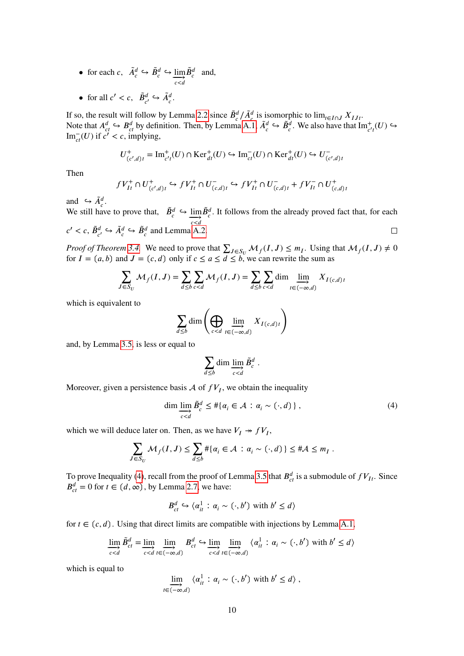- for each *c*,  $\tilde{A}_c^d \hookrightarrow \tilde{B}_c^d \hookrightarrow \lim_{c \leq d}$  $\tilde{B}_c^d$  and,
- for all  $c' < c$ ,  $\tilde{B}_{c'}^d \hookrightarrow \tilde{A}_c^d$ .

If so, the result will follow by Lemma [2.2](#page-3-1) since  $\tilde{B}_c^d / \tilde{A}_c^d$  is isomorphic to  $\lim_{t \in I \cap J} X_{IJt}$ . Note that  $A_{ct}^d \hookrightarrow B_{ct}^d$  by definition. Then, by Lemma [A.1,](#page-19-1)  $\tilde{A}_c^d \hookrightarrow \tilde{B}_c^d$ . We also have that  $\text{Im}_{c't}^+(U) \hookrightarrow$  $\text{Im}_{ct}^{-}(U)$  if  $c' < c$ , implying,

$$
U^+_{(c',d)t} = \text{Im}^+_{c't}(U) \cap \text{Ker}^+_{dt}(U) \hookrightarrow \text{Im}^-_{ct}(U) \cap \text{Ker}^+_{dt}(U) \hookrightarrow U^-_{(c',d)t}
$$

Then

$$
fV_{It}^+ \cap U_{(c',d)t}^+ \hookrightarrow fV_{It}^+ \cap U_{(c,d)t}^- \hookrightarrow fV_{It}^+ \cap U_{(c,d)t}^- + fV_{It}^- \cap U_{(c,d)t}^+
$$

and  $ightharpoonup \tilde{A}_c^d$ .

We still have to prove that,  $\tilde{B}_c^d \hookrightarrow \lim_{c < d}$  $\tilde{B}_{c}^{d}$ . It follows from the already proved fact that, for each  $c' < c$ ,  $\tilde{B}_{c'}^d \hookrightarrow \tilde{A}_c^d \hookrightarrow \tilde{B}_c^d$  and Lemma [A.2.](#page-19-2)  $\Box$ 

*Proof of Theorem* [3.4.](#page-7-2) We need to prove that  $\sum_{J \in S_U} M_f(I, J) \leq m_I$ . Using that  $M_f(I, J) \neq 0$ for  $I = (a, b)$  and  $J = (c, d)$  only if  $c \le a \le \overline{d} \le b$ , we can rewrite the sum as

$$
\sum_{J \in S_U} \mathcal{M}_f(I, J) = \sum_{d \le b} \sum_{c < d} \mathcal{M}_f(I, J) = \sum_{d \le b} \sum_{c < d} \dim \lim_{t \in (-\infty, d)} X_{I(c, d)t}
$$

which is equivalent to

$$
\sum_{d\leq b} \dim \left(\bigoplus_{c
$$

and, by Lemma [3.5,](#page-8-0) is less or equal to

$$
\sum_{d \leq b} \dim \varinjlim_{c < d} \tilde{B}_c^d \; .
$$

Moreover, given a persistence basis  $A$  of  $fV_I$ , we obtain the inequality

<span id="page-9-0"></span>
$$
\dim \lim_{c < d} \tilde{B}_c^d \leq #\{\alpha_i \in \mathcal{A} : \alpha_i \sim (\cdot, d)\},\tag{4}
$$

which we will deduce later on. Then, as we have  $V_I \rightarrow fV_I$ ,

$$
\sum_{J \in S_U} \mathcal{M}_f(I, J) \leq \sum_{d \leq b} \#\{\alpha_i \in \mathcal{A} : \alpha_i \sim (\cdot, d)\} \leq \#\mathcal{A} \leq m_I.
$$

To prove Inequality [\(4\)](#page-9-0), recall from the proof of Lemma [3.5](#page-8-0) that  $B_{ct}^d$  is a submodule of  $fV_{It}$ . Since  $B_{ct}^d = 0$  for  $t \in (d, \infty)$ , by Lemma [2.7,](#page-5-0) we have:

$$
B_{ct}^d \hookrightarrow \langle \alpha_{it}^1 : \alpha_i \sim (\cdot, b') \text{ with } b' \leq d \rangle
$$

for  $t \in (c, d)$ . Using that direct limits are compatible with injections by Lemma [A.1,](#page-19-1)

$$
\underline{\lim}_{c
$$

which is equal to

$$
\lim_{t \in (-\infty, d)} \langle \alpha_{it}^1 : \alpha_i \sim (\cdot, b') \text{ with } b' \leq d \rangle ,
$$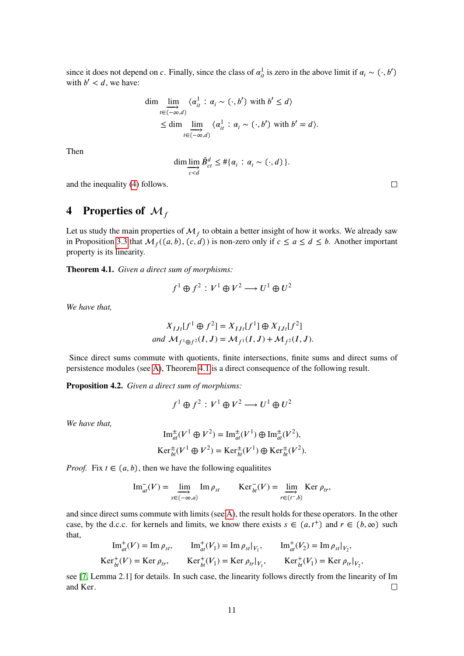since it does not depend on *c*. Finally, since the class of  $\alpha_{it}^1$  is zero in the above limit if  $\alpha_i \sim (\cdot, b')$ with  $b' < d$ , we have:

$$
\dim \lim_{t \in (-\infty, d)} \langle \alpha_{it}^1 : \alpha_i \sim (\cdot, b') \text{ with } b' \leq d \rangle
$$
  
\n
$$
\leq \dim \lim_{t \in (-\infty, d)} \langle \alpha_{it}^1 : \alpha_i \sim (\cdot, b') \text{ with } b' = d \rangle.
$$

Then

$$
\dim \underset{c < d}{\lim} \widetilde{B}_{ct}^d \leq #\{\alpha_i : \alpha_i \sim (\cdot, d)\}.
$$

and the inequality [\(4\)](#page-9-0) follows.

# **4** Properties of  $\mathcal{M}_f$

Let us study the main properties of  $\mathcal{M}_f$  to obtain a better insight of how it works. We already saw in Proposition [3.3](#page-7-1) that  $\mathcal{M}_f((a, b), (c, d))$  is non-zero only if  $c \le a \le b$ . Another important property is its linearity.

<span id="page-10-0"></span>**Theorem 4.1.** *Given a direct sum of morphisms:*

$$
f^{1} \oplus f^{2} : V^{1} \oplus V^{2} \longrightarrow U^{1} \oplus U^{2}
$$

*We have that,*

$$
X_{IJt}[f^{1} \oplus f^{2}] = X_{IJt}[f^{1}] \oplus X_{IJt}[f^{2}]
$$
  
and  $\mathcal{M}_{f^{1} \oplus f^{2}}(I, J) = \mathcal{M}_{f^{1}}(I, J) + \mathcal{M}_{f^{2}}(I, J).$ 

Since direct sums commute with quotients, finite intersections, finite sums and direct sums of persistence modules (see [A\)](#page-19-0), Theorem [4.1](#page-10-0) is a direct consequence of the following result.

**Proposition 4.2.** *Given a direct sum of morphisms:*

$$
f^1 \oplus f^2 : V^1 \oplus V^2 \longrightarrow U^1 \oplus U^2
$$

*We have that,*

$$
\operatorname{Im}_{at}^{\pm}(V^1 \oplus V^2) = \operatorname{Im}_{at}^{\pm}(V^1) \oplus \operatorname{Im}_{at}^{\pm}(V^2),
$$
  

$$
\operatorname{Ker}_{bt}^{\pm}(V^1 \oplus V^2) = \operatorname{Ker}_{bt}^{\pm}(V^1) \oplus \operatorname{Ker}_{bt}^{\pm}(V^2).
$$

*Proof.* Fix  $t \in (a, b)$ , then we have the following equalitites

$$
\operatorname{Im}_{at}^{-}(V) = \lim_{s \in (-\infty, a)} \operatorname{Im} \rho_{st} \qquad \operatorname{Ker}_{bt}^{-}(V) = \lim_{r \in (t^{-}, b)} \operatorname{Ker} \rho_{tr},
$$

and since direct sums commute with limits (see [A\)](#page-19-0), the result holds for these operators. In the other case, by the d.c.c. for kernels and limits, we know there exists  $s \in (a, t^+)$  and  $r \in (b, \infty)$  such that,

$$
\text{Im}_{at}^{+}(V) = \text{Im}\,\rho_{st}, \qquad \text{Im}_{at}^{+}(V_{1}) = \text{Im}\,\rho_{st}|_{V_{1}}, \qquad \text{Im}_{at}^{+}(V_{2}) = \text{Im}\,\rho_{st}|_{V_{2}},
$$
\n
$$
\text{Ker}_{bt}^{+}(V) = \text{Ker}\,\rho_{tr}, \qquad \text{Ker}_{bt}^{+}(V_{1}) = \text{Ker}\,\rho_{tr}|_{V_{1}}, \qquad \text{Ker}_{bt}^{+}(V_{1}) = \text{Ker}\,\rho_{tr}|_{V_{2}},
$$

see [\[7,](#page-18-5) Lemma 2.1] for details. In such case, the linearity follows directly from the linearity of Im and Ker.  $\Box$ 

 $\Box$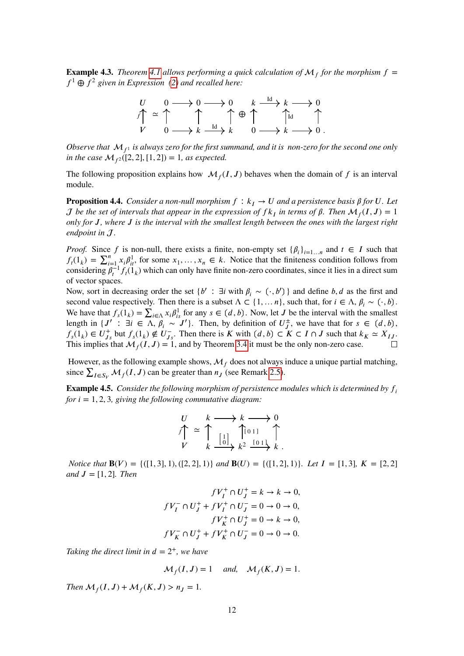**Example 4.3.** *Theorem [4.1](#page-10-0) allows performing a quick calculation of*  $M_f$  *for the morphism*  $f =$  $f<sup>1</sup> \oplus f<sup>2</sup>$  given in Expression [\(2\)](#page-1-1) and recalled here:



*Observe that*  $M_f$ <sup>1</sup> *is always zero for the first summand, and it is non-zero for the second one only in the case*  $\mathcal{M}_{f^2}([2, 2], [1, 2]) = 1$ *, as expected.* 

The following proposition explains how  $\mathcal{M}_f(I, J)$  behaves when the domain of f is an interval module.

**Proposition 4.4.** *Consider a non-null morphism*  $f : k_I \to U$  *and a persistence basis*  $\beta$  *for U. Let J* be the set of intervals that appear in the expression of  $fk_I$  in terms of  $\beta$ . Then  $\mathcal{M}_f(I, J) = 1$ *only for 𝐽, where 𝐽 is the interval with the smallest length between the ones with the largest right endpoint in .*

*Proof.* Since *f* is non-null, there exists a finite, non-empty set  $\{\beta_i\}_{i=1...n}$  and  $t \in I$  such that  $f_i(1_k) = \sum_{i=1}^n x_i \beta_{it}^1$ , for some  $x_1, \ldots, x_n \in k$ . Notice that the finiteness condition follows from considering  $\beta_t^{-1} f_t(\hat{1}_k)$  which can only have finite non-zero coordinates, since it lies in a direct sum of vector spaces.

Now, sort in decreasing order the set  $\{b' : \exists i \text{ with } \beta_i \sim (\cdot, b')\}$  and define *b*, *d* as the first and second value respectively. Then there is a subset  $\Lambda \subset \{1, \ldots n\}$ , such that, for  $i \in \Lambda$ ,  $\beta_i \sim (\cdot, b)$ . We have that  $f_s(1_k) = \sum_{i \in \Lambda} x_i \beta_{is}^1$  for any  $s \in (d, b)$ . Now, let *J* be the interval with the smallest length in  $\{J' : \exists i \in \Lambda, \beta_i \sim J'\}$ . Then, by definition of  $U^{\pm}_{J}$  $\tau^{\pm}_{J}$ , we have that for  $s \in (d, b)$ ,  $f_s(1_k) \in U_{J_s}^+$  but  $f_s(1_k) \notin U_{J_s}^-$ . Then there is K with  $(d, b) \subset K \subset I \cap J$  such that  $k_K \simeq X_{IJ}$ . This implies that  $\mathcal{M}_f(I, J) = 1$ , and by Theorem [3.4](#page-7-2) it must be the only non-zero case.

However, as the following example shows,  $\mathcal{M}_f$  does not always induce a unique partial matching, since  $\sum_{I \in S_V} M_f(I, J)$  can be greater than  $n_J$  (see Remark [2.5\)](#page-4-1).

<span id="page-11-0"></span>**Example 4.5.** *Consider the following morphism of persistence modules which is determined by*  $f_i$ *for*  $i = 1, 2, 3$ *, giving the following commutative diagram:* 

$$
\begin{array}{ccc}\nU & k \longrightarrow k \longrightarrow 0 \\
f \uparrow & \uparrow & \uparrow \\
V & k \longrightarrow k^2 \longrightarrow k^2 \\
\end{array}
$$

*Notice that*  $B(V) = \{([1,3],1), ([2,2],1)\}$  *and*  $B(U) = \{([1,2],1)\}$ *. Let*  $I = [1,3]$ *,*  $K = [2,2]$ *and*  $J = [1, 2]$ *. Then* 

$$
fV_I^+ \cap U_J^+ = k \to k \to 0,
$$
  

$$
fV_I^- \cap U_J^+ + fV_I^+ \cap U_J^- = 0 \to 0 \to 0,
$$
  

$$
fV_K^+ \cap U_J^+ = 0 \to k \to 0,
$$
  

$$
fV_K^- \cap U_J^+ + fV_K^+ \cap U_J^- = 0 \to 0 \to 0.
$$

*Taking the direct limit in*  $d = 2^+$ *, we have* 

$$
\mathcal{M}_f(I, J) = 1 \quad \text{and,} \quad \mathcal{M}_f(K, J) = 1.
$$

*Then*  $\mathcal{M}_f(I, J) + \mathcal{M}_f(K, J) > n_J = 1$ .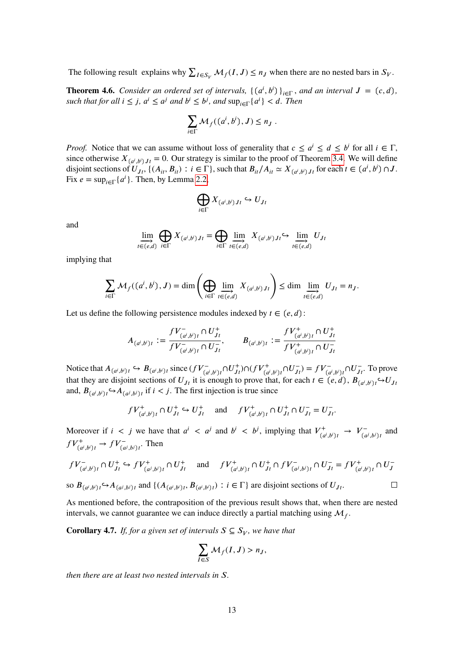The following result explains why  $\sum_{I \in S_V} M_f(I, J) \le n_J$  when there are no nested bars in  $S_V$ .

<span id="page-12-0"></span>**Theorem 4.6.** *Consider an ordered set of intervals,*  $\{(a^i, b^i)\}_{i \in \Gamma}$ *, and an interval*  $J = (c, d)$ *, such that for all*  $i \leq j$ ,  $a^i \leq a^j$  *and*  $b^i \leq b^j$ , *and*  $\sup_{i \in \Gamma} \{a^i\} < d$ . *Then* 

$$
\sum_{i\in\Gamma} \mathcal{M}_f((a^i,b^i),J)\leq n_J.
$$

*Proof.* Notice that we can assume without loss of generality that  $c \le a^i \le d \le b^i$  for all  $i \in \Gamma$ , since otherwise  $X_{(a^i, b^i)Jt} = 0$ . Our strategy is similar to the proof of Theorem [3.4.](#page-7-2) We will define disjoint sections of  $U_{Jt}$ ,  $\{(A_{it}, B_{it}) : i \in \Gamma\}$ , such that  $B_{it}/A_{it} \simeq X_{(a^i, b^i)Jt}$  for each  $t \in (a^i, b^i) \cap J$ . Fix  $e = \sup_{i \in \Gamma} \{a^i\}$ . Then, by Lemma [2.2,](#page-3-1)

$$
\bigoplus_{i\in\Gamma}X_{(a^i,b^i)Jt}\hookrightarrow U_{Jt}
$$

and

$$
\lim_{t \in (e,d)} \bigoplus_{i \in \Gamma} X_{(a^i,b^i)Jt} = \bigoplus_{i \in \Gamma} \lim_{t \in (e,d)} X_{(a^i,b^i)Jt} \hookrightarrow \lim_{t \in (e,d)} U_{Jt}
$$

implying that

$$
\sum_{i\in \Gamma}\mathcal{M}_f((a^i,b^i),J)=\dim\left(\bigoplus_{i\in \Gamma}\varinjlim_{t\in (e,d)}X_{(a^i,b^i)Jt}\right)\leq \dim\varinjlim_{t\in (e,d)}U_{Jt}=n_J.
$$

Let us define the following persistence modules indexed by  $t \in (e, d)$ :

$$
A_{(a^i,b^i)t} := \frac{fV_{(a^i,b^i)t}^- \cap U_{Jt}^+}{fV_{(a^i,b^i)t}^- \cap U_{Jt}^-}, \qquad B_{(a^i,b^i)t} := \frac{fV_{(a^i,b^i)t}^+ \cap U_{Jt}^+}{fV_{(a^i,b^i)t}^+ \cap U_{Jt}^-}
$$

Notice that  $A_{(a^i,b^i)t} \hookrightarrow B_{(a^i,b^i)t}$  since  $(fV_{(a^i,b^i)t}^- \cap U_{Jt}^+) \cap (fV_{(a^i,b^i)t}^+ \cap U_{Jt}^-) = fV_{(a^i,b^i)t}^- \cap U_{Jt}^-$ . To prove that they are disjoint sections of  $U_{Jt}$  it is enough to prove that, for each  $t \in (e, d)$ ,  $B_{(a^i, b^i) t} \hookrightarrow U_{Jt}$ and,  $B_{(a^i, b^i)t} \hookrightarrow A_{(a^j, b^j)t}$  if  $i < j$ . The first injection is true since

$$
fV^+_{(a^i,b^i)t} \cap U^+_{Jt} \hookrightarrow U^+_{Jt}
$$
 and  $fV^+_{(a^i,b^i)t} \cap U^+_{Jt} \cap U^-_{Jt} = U^-_{Jt}$ .

Moreover if  $i < j$  we have that  $a^i < a^j$  and  $b^i < b^j$ , implying that  $V^+_{\alpha}$  $\frac{r^+}{(a^i,b^i)t} \to V^-_{(a)}$  $\int_{a^j}^{t^-}$  and  $fV^+_{(a^i,b^i)t} \to fV^-_{(a^j,b^j)t}$ . Then

$$
fV_{(a^i,b^i)t}^- \cap U_{Jt}^+ \hookrightarrow fV_{(a^j,b^i)t}^+ \cap U_{Jt}^+
$$
 and 
$$
fV_{(a^i,b^i)t}^+ \cap fV_{(a^j,b^i)t}^- \cap U_{Jt}^- = fV_{(a^i,b^i)t}^+ \cap U_J^-
$$
  
so  $B_{(a^i,b^i)t} \hookrightarrow A_{(a^j,b^i)t}$  and  $\{(A_{(a^i,b^i)t}, B_{(a^i,b^i)t}): i \in \Gamma\}$  are disjoint sections of  $U_{t}$ .

so  $B_{(a^i, b^i)t} \hookrightarrow A_{(a^j, b^j)t}$  and  $\{(A_{(a^i, b^i)t}, B_{(a^i, b^i)t}) : i \in \Gamma\}$  are disjoint sections of  $U_{Jt}$ .

As mentioned before, the contraposition of the previous result shows that, when there are nested intervals, we cannot guarantee we can induce directly a partial matching using  $\mathcal{M}_f$ .

**Corollary 4.7.** *If, for a given set of intervals*  $S \subseteq S_V$ *, we have that* 

$$
\sum_{I\in S}\mathcal{M}_f(I,J) > n_J,
$$

*then there are at least two nested intervals in* S.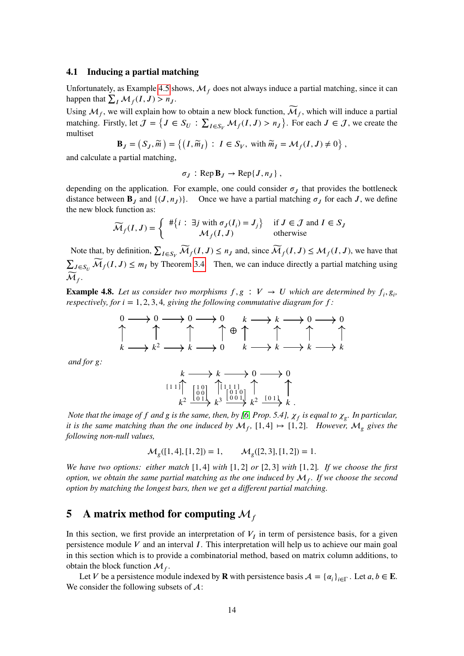#### **4.1 Inducing a partial matching**

Unfortunately, as Example [4.5](#page-11-0) shows,  $\mathcal{M}_f$  does not always induce a partial matching, since it can happen that  $\sum_I \mathcal{M}_f(I, J) > n_J$ .

Using  $\mathcal{M}_f$ , we will explain how to obtain a new block function,  $\widetilde{\mathcal{M}}_f$ , which will induce a partial matching. Firstly, let  $J = \{J \in S_U : \sum_{I \in S_V} M_f(I, J) > n_J\}$ . For each  $J \in J$ , we create the multiset  $\overline{a}$  $\overline{ }$  $\lambda$ 

$$
\mathbf{B}_J = \left( S_J, \widetilde{m} \right) = \left\{ \left( I, \widetilde{m}_I \right) : I \in S_V, \text{ with } \widetilde{m}_I = \mathcal{M}_f(I, J) \neq 0 \right\},\
$$

and calculate a partial matching,

$$
\sigma_J: \operatorname{Rep} \mathbf{B}_J \to \operatorname{Rep}\{J, n_J\}\,
$$

depending on the application. For example, one could consider  $\sigma_{\rm J}$  that provides the bottleneck distance between  $\mathbf{B}_J$  and  $\{(J, n_J)\}$ . Once we have a partial matching  $\sigma_J$  for each *J*, we define the new block function as:

$$
\widetilde{\mathcal{M}}_f(I,J) = \left\{ \begin{array}{cl} #\{i : \exists j \text{ with } \sigma_J(I_i) = J_j\} & \text{if } J \in \mathcal{J} \text{ and } I \in S_J \\ \mathcal{M}_f(I,J) & \text{otherwise} \end{array} \right.
$$

Note that, by definition,  $\sum_{I \in S_V} \widetilde{\mathcal{M}}_f(I, J) \le n_J$  and, since  $\widetilde{\mathcal{M}}_f(I, J) \le \mathcal{M}_f(I, J)$ , we have that  $\sum_{J \in S_U} \widetilde{\mathcal{M}}_f(I, J) \leq m_I$  by Theorem [3.4.](#page-7-2) Then, we can induce directly a partial matching using  $\widetilde{\mathcal{M}}_f.$ 

**Example 4.8.** Let us consider two morphisms  $f, g : V \to U$  which are determined by  $f_i, g_j$ , *respectively, for*  $i = 1, 2, 3, 4$ *, giving the following commutative diagram for*  $f$ *:* 

$$
\begin{array}{ccc}\n0 & \longrightarrow & 0 & \longrightarrow & 0 \\
\uparrow & & \uparrow & & \uparrow & \longrightarrow & k \\
k & \longrightarrow & k^2 & \longrightarrow & k & \longrightarrow & 0 \\
\downarrow & & & \uparrow & & \uparrow & & \uparrow \\
k & \longrightarrow & k^2 & \longrightarrow & k & \longrightarrow & 0 & & k & \longrightarrow & k \\
\end{array}
$$

*and for*  $g$ *:* 

$$
\begin{array}{ccc}\nk & \longrightarrow & k \longrightarrow 0 \longrightarrow 0 \\
\downarrow & & \downarrow & \\
\downarrow & & \downarrow & \\
k^2 & \xrightarrow{\begin{bmatrix} 1 & 0 \\ 0 & 0 \\ 0 & 1 \end{bmatrix}} \begin{matrix} \uparrow & & & \\
\uparrow & & & & \\
\downarrow & & & & \\
\downarrow & & & & \\
\downarrow & & & & \\
\downarrow & & & & \\
\downarrow & & & & \\
\downarrow & & & & \\
\downarrow & & & & \\
\downarrow & & & & \\
\downarrow & & & & \\
\downarrow & & & & \\
\downarrow & & & & \\
\downarrow & & & & \\
\downarrow & & & & \\
\downarrow & & & & \\
\downarrow & & & & \\
\downarrow & & & & \\
\downarrow & & & & \\
\downarrow & & & & \\
\downarrow & & & & \\
\downarrow & & & & \\
\downarrow & & & & \\
\downarrow & & & & \\
\downarrow & & & & \\
\downarrow & & & & \\
\downarrow & & & & \\
\downarrow & & & & \\
\downarrow & & & & & \\
\downarrow & & & & & \\
\downarrow & & & & & \\
\downarrow & & & & & \\
\downarrow & & & & & \\
\downarrow & & & & & \\
\downarrow & & & & & \\
\downarrow & & & & & \\
\downarrow & & & & & \\
\downarrow & & & & & \\
\downarrow & & & & &
$$

*Note that the image of f and g is the same, then, by [\[6,](#page-18-4) Prop. 5.4],*  $\chi_f$  *is equal to*  $\chi_g$ *<i>. In particular, it is the same matching than the one induced by*  $M_f$ , [1,4]  $\mapsto$  [1,2]. *However*,  $M_g$  gives the *following non-null values,*

$$
\mathcal{M}_g([1,4],[1,2]) = 1, \qquad \mathcal{M}_g([2,3],[1,2]) = 1.
$$

*We have two options: either match* [1*,* 4] *with* [1*,* 2] *or* [2*,* 3] *with* [1*,* 2]*. If we choose the first option, we obtain the same partial matching as the one induced by*  $\mathcal{M}_f$ *. If we choose the second option by matching the longest bars, then we get a different partial matching.*

# <span id="page-13-0"></span>**5** A matrix method for computing  $M_f$

In this section, we first provide an interpretation of  $V_I$  in term of persistence basis, for a given persistence module *V* and an interval *I*. This interpretation will help us to achieve our main goal in this section which is to provide a combinatorial method, based on matrix column additions, to obtain the block function  $\mathcal{M}_f$ .

Let *V* be a persistence module indexed by **R** with persistence basis  $A = {\alpha_i}_{i \in \Gamma}$ . Let  $a, b \in \mathbf{E}$ . We consider the following subsets of  $\mathcal{A}$ :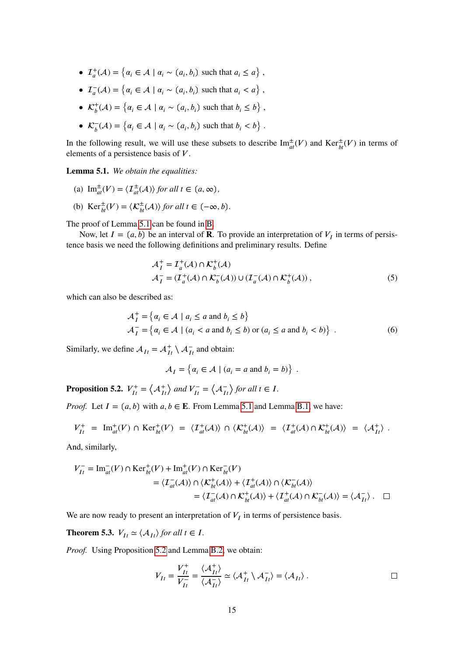- $\mathcal{I}_a^+(\mathcal{A}) = \{ \alpha_i \in \mathcal{A} \mid \alpha_i \sim (a_i, b_i) \text{ such that } a_i \leq a \},\$
- $\mathcal{I}_a^-(\mathcal{A}) = \{ \alpha_i \in \mathcal{A} \mid \alpha_i \sim (a_i, b_i) \text{ such that } a_i < a \},\$
- $\mathcal{K}_b^+(\mathcal{A}) = \{ \alpha_i \in \mathcal{A} \mid \alpha_i \sim (a_i, b_i) \text{ such that } b_i \leq b \},\$
- $\mathcal{K}_b^-(\mathcal{A}) = \{ \alpha_i \in \mathcal{A} \mid \alpha_i \sim (a_i, b_i) \text{ such that } b_i < b \}.$

In the following result, we will use these subsets to describe  $\text{Im}^{\pm}_{at}(V)$  and  $\text{Ker}^{\pm}_{bt}(V)$  in terms of elements of a persistence basis of *V*.

<span id="page-14-0"></span>**Lemma 5.1.** *We obtain the equalities:*

- <span id="page-14-2"></span>(a)  $\text{Im}^{\pm}_{at}(V) = \langle \mathcal{I}^{\pm}_{at}(A) \rangle$  *for all*  $t \in (a, \infty)$ *,*
- <span id="page-14-3"></span>(b)  $\text{Ker}_{bt}^{\pm}(V) = \langle \mathcal{K}_{bt}^{\pm}(\mathcal{A}) \rangle$  *for all*  $t \in (-\infty, b)$ .

The proof of Lemma [5.1](#page-14-0) can be found in [B.](#page-20-0)

Now, let  $I = (a, b)$  be an interval of **R**. To provide an interpretation of  $V_I$  in terms of persistence basis we need the following definitions and preliminary results. Define

$$
\mathcal{A}_I^+ = \mathcal{I}_a^+(\mathcal{A}) \cap \mathcal{K}_b^+(\mathcal{A})
$$
  
\n
$$
\mathcal{A}_I^- = (\mathcal{I}_a^+(\mathcal{A}) \cap \mathcal{K}_b^-(\mathcal{A})) \cup (\mathcal{I}_a^-(\mathcal{A}) \cap \mathcal{K}_b^+(\mathcal{A})),
$$
\n(5)

which can also be described as:

$$
\mathcal{A}_I^+ = \{ \alpha_i \in \mathcal{A} \mid a_i \le a \text{ and } b_i \le b \}
$$
  

$$
\mathcal{A}_I^- = \{ \alpha_i \in \mathcal{A} \mid (a_i < a \text{ and } b_i \le b) \text{ or } (a_i \le a \text{ and } b_i < b) \} .
$$
 (6)

Similarly, we define  $A_{It} = A_{It}^+ \setminus A_{It}^-$  and obtain:

$$
\mathcal{A}_I = \{ \alpha_i \in \mathcal{A} \mid (a_i = a \text{ and } b_i = b) \}.
$$

<span id="page-14-1"></span>**Proposition 5.2.**  $V_{It}^+ = \left\langle \mathcal{A}_{It}^+ \right\rangle$  $\sum_{I}$  and  $V_{I}^{-} = \langle A_{I}^{-} \rangle$  $\frac{1}{\sqrt{t}}$  *for all*  $t \in I$ .

*Proof.* Let  $I = (a, b)$  with  $a, b \in E$ . From Lemma [5.1](#page-14-0) and Lemma [B.1,](#page-21-0) we have:

$$
V_{It}^+ = \operatorname{Im}_{at}^+(V) \cap \operatorname{Ker}_{bt}^+(V) = \langle T_{at}^+(A) \rangle \cap \langle \mathcal{K}_{bt}^+(A) \rangle = \langle T_{at}^+(A) \cap \mathcal{K}_{bt}^+(A) \rangle = \langle \mathcal{A}_{It}^+ \rangle.
$$

And, similarly,

$$
V_{It}^- = \text{Im}_{at}^-(V) \cap \text{Ker}_{bt}^+(V) + \text{Im}_{at}^+(V) \cap \text{Ker}_{bt}^-(V)
$$
  

$$
= \langle T_{at}^-(A) \rangle \cap \langle \mathcal{K}_{bt}^+(A) \rangle + \langle T_{at}^+(A) \rangle \cap \langle \mathcal{K}_{bt}^-(A) \rangle
$$
  

$$
= \langle T_{at}^-(A) \cap \mathcal{K}_{bt}^+(A) \rangle + \langle T_{at}^+(A) \cap \mathcal{K}_{bt}^-(A) \rangle = \langle \mathcal{A}_{It}^- \rangle. \quad \Box
$$

We are now ready to present an interpretation of  $V_I$  in terms of persistence basis.

**Theorem 5.3.**  $V_{It} \simeq \langle A_{It} \rangle$  *for all*  $t \in I$ .

*Proof.* Using Proposition [5.2](#page-14-1) and Lemma [B.2,](#page-21-1) we obtain:

$$
V_{It} = \frac{V_{It}^+}{V_{It}^-} = \frac{\langle A_{It}^+ \rangle}{\langle A_{It}^- \rangle} \simeq \langle A_{It}^+ \setminus A_{It}^- \rangle = \langle A_{It} \rangle . \qquad \Box
$$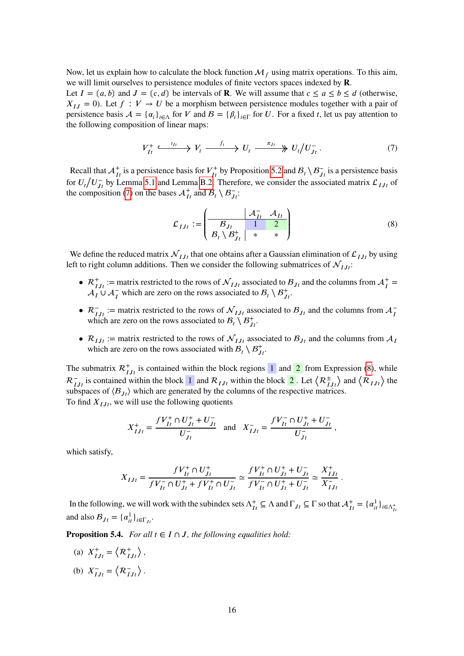Now, let us explain how to calculate the block function  $\mathcal{M}_f$  using matrix operations. To this aim, we will limit ourselves to persistence modules of finite vectors spaces indexed by **R**.

Let  $I = (a, b)$  and  $J = (c, d)$  be intervals of **R**. We will assume that  $c \le a \le b \le d$  (otherwise,  $X_{IJ} = 0$ ). Let  $f : V \to U$  be a morphism between persistence modules together with a pair of persistence basis  $A = \{\alpha_i\}_{i \in \Lambda}$  for *V* and  $B = \{\beta_i\}_{i \in \Gamma}$  for *U*. For a fixed *t*, let us pay attention to the following composition of linear maps:

<span id="page-15-0"></span>
$$
V_{It}^+ \xrightarrow{\iota_{It}} V_t \xrightarrow{f_t} U_t \xrightarrow{\pi_{J_t}} U_t / U_{J_t}^-.
$$
 (7)

Recall that  $A_{It}^+$  is a persistence basis for  $V_{It}^+$  by Proposition [5.2](#page-14-1) and  $B_t \setminus B_{Jt}^-$  is a persistence basis for  $U_t/U_{Jt}^-$  by Lemma [5.1](#page-14-0) and Lemma [B.2.](#page-21-1) Therefore, we consider the associated matrix  $\mathcal{L}_{IJt}$  of the composition [\(7\)](#page-15-0) on the bases  $A_{It}^+$  and  $B_t \setminus B_{Jt}^-$ .

<span id="page-15-1"></span>
$$
\mathcal{L}_{IJt} := \begin{pmatrix} \mathcal{A}_{It}^- & \mathcal{A}_{It} \\ \mathcal{B}_{Jt} & 1 & 2 \\ \mathcal{B}_t \setminus \mathcal{B}_{Jt}^+ & * & * \end{pmatrix}
$$
(8)

*.*

We define the reduced matrix  $\mathcal{N}_{I,I}$  that one obtains after a Gaussian elimination of  $\mathcal{L}_{I,I}$  by using left to right column additions. Then we consider the following submatrices of  $\mathcal{N}_{IJ}$ :

- $\mathcal{R}_{II}^+$  := matrix restricted to the rows of  $\mathcal{N}_{II}$  associated to  $\mathcal{B}_{I}$  and the columns from  $\mathcal{A}_I^+$  $A_I^{\uparrow} \cup A_I^-$  which are zero on the rows associated to  $B_I \setminus B_{J}^+$ .
- $\mathcal{R}_{II}^-$  := matrix restricted to the rows of  $\mathcal{N}_{II}$  associated to  $\mathcal{B}_{I}$  and the columns from  $\mathcal{A}_{I}^$ which are zero on the rows associated to  $B_t \setminus B_{Jt}^+$ .
- $\mathcal{R}_{IJ}$  := matrix restricted to the rows of  $\mathcal{N}_{IJ}$  associated to  $\mathcal{B}_{J}$  and the columns from  $\mathcal{A}_{I}$ which are zero on the rows associated with  $B_t \setminus B_{Jt}^+$ .

The submatrix  $\mathcal{R}_{IJ}^+$  is contained within the block regions  $\boxed{1}$  and  $\boxed{2}$  from Expression [\(8\)](#page-15-1), while  $R_{IJt}^-$  is contained within the block 1 and  $R_{IJt}$  within the block 2. Let  $\langle R_{IJt}^{\pm}$  $\rangle$  and  $\langle R_{IJt} \rangle$  the subspaces of  $\langle B_{Jt} \rangle$  which are generated by the columns of the respective matrices. To find  $X_{IJt}$ , we will use the following quotients

$$
X_{IJt}^+ = \frac{fV_{It}^+ \cap U_{Jt}^+ + U_{Jt}^-}{U_{Jt}^-} \text{ and } X_{IJt}^- = \frac{fV_{It}^- \cap U_{Jt}^+ + U_{Jt}^-}{U_{Jt}^-} \, ,
$$

which satisfy,

$$
X_{IJt}=\frac{fV_{It}^+\cap U_{Jt}^+}{fV_{It}^-\cap U_{Jt}^++fV_{It}^+\cap U_{Jt}^-}\simeq \frac{fV_{It}^+\cap U_{Jt}^++U_{Jt}^-}{fV_{It}^-\cap U_{Jt}^++U_{Jt}^-}\simeq \frac{X_{IJt}^+}{X_{IJt}^-}
$$

In the following, we will work with the subindex sets  $\Lambda_{It}^+ \subseteq \Lambda$  and  $\Gamma_{Jt} \subseteq \Gamma$  so that  $\mathcal{A}_{It}^+ = {\{\alpha_{it}^1\}_{i \in \Lambda_{It}^+}}$ and also  $B_{Jt} = {\alpha_{it}^1}_{i \in \Gamma_{Jt}}$ .

<span id="page-15-3"></span>**Proposition 5.4.** *For all*  $t \in I \cap J$ *, the following equalities hold:* 

<span id="page-15-2"></span>(a)  $X_{IJt}^+ = \left\langle \mathcal{R}_{IJt}^+ \right\rangle$ ⟩ *,* (b)  $X_{IJt}^- = \langle \mathcal{R}_{IJt}^-$ ⟩ *.*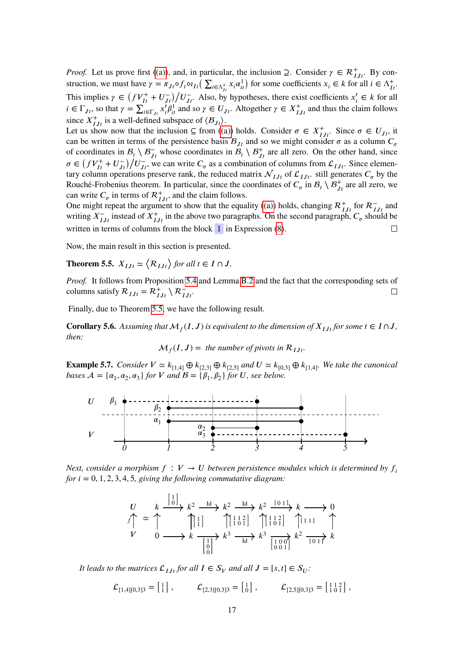*Proof.* Let us prove first [\(\(a\)\)](#page-15-2), and, in particular, the inclusion  $\supseteq$ . Consider  $\gamma \in \mathcal{R}_{IJ}^+$ . By construction, we must have  $\gamma = \pi_{Jf} \circ f_t \circ i_{It} \left( \sum_{i \in \Lambda_{II}^+} x_i \alpha_{it}^1 \right)$  for some coefficients  $x_i \in k$  for all  $i \in \Lambda_{II}^+$ .<br>This issued is  $\pi_{Jf} \circ f_t \circ i_{It} = \Lambda_{II}^+$ . This implies  $\gamma \in (fV_{It}^+ + U_{J}^-)$  $\frac{d^2}{dt^2}$  / $\frac{d^2}{dt^2}$  / $\frac{d^2}{dt^2}$  / $\frac{d^2}{dt^2}$  / $\frac{d^2}{dt^2}$  / $\frac{d^2}{dt^2}$  / $\frac{d^2}{dt^2}$  / $\frac{d^2}{dt^2}$  / $\frac{d^2}{dt^2}$  / $\frac{d^2}{dt^2}$  / $\frac{d^2}{dt^2}$  / $\frac{d^2}{dt^2}$  / $\frac{d^2}{dt^2}$  / $\frac{d^2}{dt^2}$  / $\frac{d^2}{dt^2$  $i \in \Gamma_{J_t}$ , so that  $\gamma = \sum_{i=1}^{J_t}$  $\chi_{i \in \Gamma_{J_t}}^{\downarrow} x_i^j \beta_{it}^1$  and so  $\gamma \in U_{J_t}$ . Altogether  $\gamma \in X_{I J_t}^+$  and thus the claim follows since  $X^+_{IJt}$  is a well-defined subspace of  $\langle B_{Jt} \rangle$ .

Let us show now that the inclusion  $\subseteq$  from [\(\(a\)\)](#page-15-2) holds. Consider  $\sigma \in X^+_{IJ}$ . Since  $\sigma \in U_{J}$ , it can be written in terms of the persistence basis  $B_{Jt}$  and so we might consider  $\sigma$  as a column  $C_{\sigma}$ of coordinates in  $B_t \setminus B_{Jt}^-$  whose coordinates in  $B_t \setminus B_{Jt}^+$  are all zero. On the other hand, since  $\sigma$  (*CM*<sup>+</sup> + *M*<sup>-</sup>)</sub> /*M*<sup>-</sup>  $\sigma \in (fV_{It}^+ + U_{J}^-)$  $\frac{J_{t}}{J_{t}}\sqrt{D_{f}}$  whose coordinates in  $D_{t} \sqrt{D_{f}}$  are an zero. On the other hand, since  $\frac{J_{t}}{J_{t}}$ . Since elementary column operations preserve rank, the reduced matrix  $\mathcal{N}_{IJ}$  of  $\mathcal{L}_{IJ}$ , still generates  $C_{\sigma}$  by the Rouché-Frobenius theorem. In particular, since the coordinates of  $C_{\sigma}$  in  $B_t \setminus B_{J_t}^+$  are all zero, we can write  $C_{\sigma}$  in terms of  $\mathcal{R}_{IJ}^+$ , and the claim follows.

One might repeat the argument to show that the equality [\(\(a\)\)](#page-15-2) holds, changing  $\mathcal{R}_{IJ}^+$  for  $\mathcal{R}_{IJ}^-$  and writing  $X_{IJ}^-$  instead of  $X_{IJ}^+$  in the above two paragraphs. On the second paragraph,  $C_{\sigma}$  should be written in terms of columns from the block  $\overline{1}$  in Expression [\(8\)](#page-15-1).  $\Box$ 

Now, the main result in this section is presented.

<span id="page-16-0"></span>**Theorem 5.5.**  $X_{IJt} \simeq \langle \mathcal{R}_{IJt} \rangle$  for all  $t \in I \cap J$ .

*Proof.* It follows from Proposition [5.4](#page-15-3) and Lemma [B.2](#page-21-1) and the fact that the corresponding sets of columns satisfy  $R_{IJt} = R^+_{IJt} \setminus R^-_{IJt}$ .  $\Box$ 

Finally, due to Theorem [5.5,](#page-16-0) we have the following result.

**Corollary 5.6.** Assuming that  $\mathcal{M}_f(I, J)$  is equivalent to the dimension of  $X_{IJt}$  for some  $t \in I \cap J$ , *then:*

$$
\mathcal{M}_f(I, J) = \text{ the number of pivots in } \mathcal{R}_{IJt}.
$$

**Example 5.7.** *Consider*  $V \simeq k_{[1,4]} \oplus k_{[2,3]} \oplus k_{[2,5]}$  *and*  $U \simeq k_{[0,3]} \oplus k_{[1,4]}$ *. We take the canonical bases*  $A = \{a_1, a_2, a_3\}$  *for V* and  $B = \{\beta_1, \beta_2\}$  *for U, see below.* 



*Next, consider a morphism*  $f: V \to U$  *between persistence modules which is determined by*  $f_i$ *for*  $i = 0, 1, 2, 3, 4, 5$ *, giving the following commutative diagram:* 

$$
U\nV \approx \uparrow \qquad k \xrightarrow{[0]}\n\uparrow k^2 \xrightarrow{Id} k^2 \xrightarrow{Id} k^2 \xrightarrow{[01]}\n\uparrow k \longrightarrow 0\n\downarrow k \longrightarrow \uparrow k^3 \qquad \uparrow k^3 \qquad \uparrow k^4 \qquad \uparrow k^5 \qquad \uparrow k^6 \qquad \downarrow k^7 \qquad \downarrow k^8 \qquad \downarrow k^8 \qquad \downarrow k^2 \qquad \downarrow k^2 \qquad \downarrow k^4 \qquad \downarrow k^5 \qquad \downarrow k^6 \qquad \downarrow k^7 \qquad \downarrow k^8 \qquad \downarrow k^8 \qquad \downarrow k^9 \qquad \downarrow k^2 \qquad \downarrow k^4 \qquad \downarrow k^5 \qquad \downarrow k^6 \qquad \downarrow k^7 \qquad \downarrow k^8 \qquad \downarrow k^9 \qquad \downarrow k^8 \qquad \downarrow k^9 \qquad \downarrow k^9 \qquad \downarrow k^8 \qquad \downarrow k^9 \qquad \downarrow k^9 \qquad \downarrow k^8 \qquad \downarrow k^9 \qquad \downarrow k^9 \qquad \downarrow k^8 \qquad \downarrow k^9 \qquad \downarrow k^9 \qquad \downarrow k^9 \qquad \downarrow k^8 \qquad \downarrow k^9 \qquad \downarrow k^9 \qquad \downarrow k^9 \qquad \downarrow k^9 \qquad \downarrow k^9 \qquad \downarrow k^9 \qquad \downarrow k^9 \qquad \downarrow k^9 \qquad \downarrow k^9 \qquad \downarrow k^8 \qquad \downarrow k^9 \qquad \downarrow k^9 \qquad \downarrow k^9 \qquad \downarrow k^9 \qquad \downarrow k^9 \qquad \downarrow k^9 \qquad \downarrow k^9 \qquad \downarrow k^9 \qquad \downarrow k^9 \qquad \downarrow k^9 \qquad \downarrow k^9 \qquad \downarrow k^9 \qquad \downarrow k^9 \qquad \downarrow k^9 \qquad \downarrow k^9 \qquad \downarrow k^9 \qquad \downarrow k^9 \qquad \downarrow k^9 \qquad \downarrow k^9 \qquad \downarrow k^9 \qquad \downarrow k^9 \qquad \downarrow k^9 \qquad \downarrow k^9 \qquad \downarrow k^9 \qquad \downarrow k^9 \qquad \downarrow k^9 \qquad \downarrow k^9 \qquad \downarrow k^9 \qquad \downarrow k^
$$

*It leads to the matrices*  $\mathcal{L}_{I,It}$  *for all*  $I \in S_V$  *and all*  $J = [s,t] \in S_U$ *:* 

 $\mathcal{L}_{[1,4][0,3]3} = \begin{bmatrix} 1 \\ 1 \end{bmatrix}$  $\mathcal{L}_{[2,3][0,3]3} = \begin{bmatrix} 1 \\ 0 \end{bmatrix}$  $\mathcal{L}_{[2,5][0,3]3} = \begin{bmatrix} 1 & 1 & 2 \\ 1 & 0 & 1 \end{bmatrix}$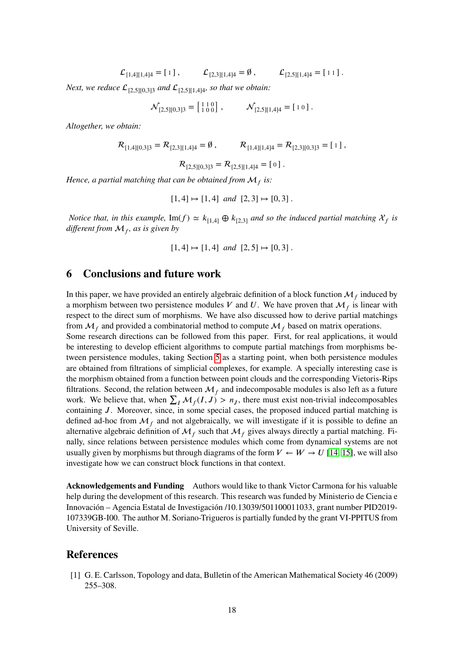$\mathcal{L}_{[1,4][1,4]4} = [1]$ ,  $\mathcal{L}_{[2,3][1,4]4} = \emptyset$ ,  $\mathcal{L}_{[2,5][1,4]4} = [11]$ .

*Next, we reduce*  $\mathcal{L}_{[2,5][0,3]3}$  *and*  $\mathcal{L}_{[2,5][1,4]4}$ *, so that we obtain:* 

 $\mathcal{N}_{[2,5][0,3]3} = \begin{bmatrix} 1 & 1 & 0 \\ 1 & 0 & 0 \end{bmatrix}, \qquad \mathcal{N}_{[2,5][1,4]4} = \begin{bmatrix} 1 & 0 \end{bmatrix}.$ 

*Altogether, we obtain:*

$$
\mathcal{R}_{[1,4][0,3]3} = \mathcal{R}_{[2,3][1,4]4} = \emptyset, \qquad \mathcal{R}_{[1,4][1,4]4} = \mathcal{R}_{[2,3][0,3]3} = [1],
$$

$$
\mathcal{R}_{[2,5][0,3]3} = \mathcal{R}_{[2,5][1,4]4} = [0].
$$

*Hence, a partial matching that can be obtained from*  $\mathcal{M}_f$  *is:* 

$$
[1,4] \mapsto [1,4]
$$
 and  $[2,3] \mapsto [0,3]$ .

*Notice that, in this example,* Im( $f$ )  $\simeq k_{[1,4]} \oplus k_{[2,3]}$  *and so the induced partial matching*  $\mathcal{X}_f$  *is different from <sup>𝑓</sup> , as is given by*

$$
[1,4] \mapsto [1,4]
$$
 and  $[2,5] \mapsto [0,3]$ .

## <span id="page-17-1"></span>**6 Conclusions and future work**

In this paper, we have provided an entirely algebraic definition of a block function  $\mathcal{M}_f$  induced by a morphism between two persistence modules *V* and *U*. We have proven that  $\mathcal{M}_f$  is linear with respect to the direct sum of morphisms. We have also discussed how to derive partial matchings from  $\mathcal{M}_f$  and provided a combinatorial method to compute  $\mathcal{M}_f$  based on matrix operations.

Some research directions can be followed from this paper. First, for real applications, it would be interesting to develop efficient algorithms to compute partial matchings from morphisms between persistence modules, taking Section [5](#page-13-0) as a starting point, when both persistence modules are obtained from filtrations of simplicial complexes, for example. A specially interesting case is the morphism obtained from a function between point clouds and the corresponding Vietoris-Rips filtrations. Second, the relation between  $\mathcal{M}_f$  and indecomposable modules is also left as a future work. We believe that, when  $\sum_I \mathcal{M}_f(I, J) > n_I$ , there must exist non-trivial indecomposables containing *J*. Moreover, since, in some special cases, the proposed induced partial matching is defined ad-hoc from  $\mathcal{M}_f$  and not algebraically, we will investigate if it is possible to define an alternative algebraic definition of  $\mathcal{M}_f$  such that  $\mathcal{M}_f$  gives always directly a partial matching. Finally, since relations between persistence modules which come from dynamical systems are not usually given by morphisms but through diagrams of the form  $V \leftarrow W \rightarrow U$  [\[14,](#page-18-12) [15\]](#page-18-13), we will also investigate how we can construct block functions in that context.

**Acknowledgements and Funding** Authors would like to thank Victor Carmona for his valuable help during the development of this research. This research was funded by Ministerio de Ciencia e Innovación – Agencia Estatal de Investigación /10.13039/501100011033, grant number PID2019- 107339GB-I00. The author M. Soriano-Trigueros is partially funded by the grant VI-PPITUS from University of Seville.

#### **References**

<span id="page-17-0"></span>[1] G. E. Carlsson, Topology and data, Bulletin of the American Mathematical Society 46 (2009) 255–308.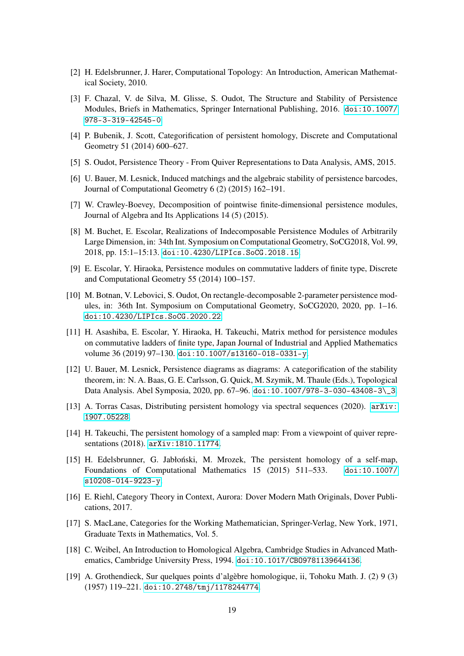- <span id="page-18-0"></span>[2] H. Edelsbrunner, J. Harer, Computational Topology: An Introduction, American Mathematical Society, 2010.
- <span id="page-18-1"></span>[3] F. Chazal, V. de Silva, M. Glisse, S. Oudot, The Structure and Stability of Persistence Modules, Briefs in Mathematics, Springer International Publishing, 2016. [doi:10.1007/](https://doi.org/10.1007/978-3-319-42545-0) [978-3-319-42545-0](https://doi.org/10.1007/978-3-319-42545-0).
- <span id="page-18-2"></span>[4] P. Bubenik, J. Scott, Categorification of persistent homology, Discrete and Computational Geometry 51 (2014) 600–627.
- <span id="page-18-3"></span>[5] S. Oudot, Persistence Theory - From Quiver Representations to Data Analysis, AMS, 2015.
- <span id="page-18-4"></span>[6] U. Bauer, M. Lesnick, Induced matchings and the algebraic stability of persistence barcodes, Journal of Computational Geometry 6 (2) (2015) 162–191.
- <span id="page-18-5"></span>[7] W. Crawley-Boevey, Decomposition of pointwise finite-dimensional persistence modules, Journal of Algebra and Its Applications 14 (5) (2015).
- <span id="page-18-6"></span>[8] M. Buchet, E. Escolar, Realizations of Indecomposable Persistence Modules of Arbitrarily Large Dimension, in: 34th Int. Symposium on Computational Geometry, SoCG2018, Vol. 99, 2018, pp. 15:1–15:13. [doi:10.4230/LIPIcs.SoCG.2018.15](https://doi.org/10.4230/LIPIcs.SoCG.2018.15).
- <span id="page-18-7"></span>[9] E. Escolar, Y. Hiraoka, Persistence modules on commutative ladders of finite type, Discrete and Computational Geometry 55 (2014) 100–157.
- <span id="page-18-8"></span>[10] M. Botnan, V. Lebovici, S. Oudot, On rectangle-decomposable 2-parameter persistence modules, in: 36th Int. Symposium on Computational Geometry, SoCG2020, 2020, pp. 1–16. [doi:10.4230/LIPIcs.SoCG.2020.22](https://doi.org/10.4230/LIPIcs.SoCG.2020.22).
- <span id="page-18-9"></span>[11] H. Asashiba, E. Escolar, Y. Hiraoka, H. Takeuchi, Matrix method for persistence modules on commutative ladders of finite type, Japan Journal of Industrial and Applied Mathematics volume 36 (2019) 97–130. [doi:10.1007/s13160-018-0331-y](https://doi.org/10.1007/s13160-018-0331-y).
- <span id="page-18-10"></span>[12] U. Bauer, M. Lesnick, Persistence diagrams as diagrams: A categorification of the stability theorem, in: N. A. Baas, G. E. Carlsson, G. Quick, M. Szymik, M. Thaule (Eds.), Topological Data Analysis. Abel Symposia, 2020, pp. 67–96. [doi:10.1007/978-3-030-43408-3\\\_3](https://doi.org/10.1007/978-3-030-43408-3_3).
- <span id="page-18-11"></span>[13] A. Torras Casas, Distributing persistent homology via spectral sequences (2020). [arXiv:](http://arxiv.org/abs/1907.05228) [1907.05228](http://arxiv.org/abs/1907.05228).
- <span id="page-18-12"></span>[14] H. Takeuchi, The persistent homology of a sampled map: From a viewpoint of quiver representations (2018). [arXiv:1810.11774](http://arxiv.org/abs/1810.11774).
- <span id="page-18-13"></span>[15] H. Edelsbrunner, G. Jabłoński, M. Mrozek, The persistent homology of a self-map, Foundations of Computational Mathematics 15 (2015) 511–533. [doi:10.1007/](https://doi.org/10.1007/s10208-014-9223-y) [s10208-014-9223-y](https://doi.org/10.1007/s10208-014-9223-y).
- <span id="page-18-14"></span>[16] E. Riehl, Category Theory in Context, Aurora: Dover Modern Math Originals, Dover Publications, 2017.
- <span id="page-18-15"></span>[17] S. MacLane, Categories for the Working Mathematician, Springer-Verlag, New York, 1971, Graduate Texts in Mathematics, Vol. 5.
- <span id="page-18-16"></span>[18] C. Weibel, An Introduction to Homological Algebra, Cambridge Studies in Advanced Mathematics, Cambridge University Press, 1994. [doi:10.1017/CBO9781139644136](https://doi.org/10.1017/CBO9781139644136).
- <span id="page-18-17"></span>[19] A. Grothendieck, Sur quelques points d'algèbre homologique, ii, Tohoku Math. J. (2) 9 (3) (1957) 119–221. [doi:10.2748/tmj/1178244774](https://doi.org/10.2748/tmj/1178244774).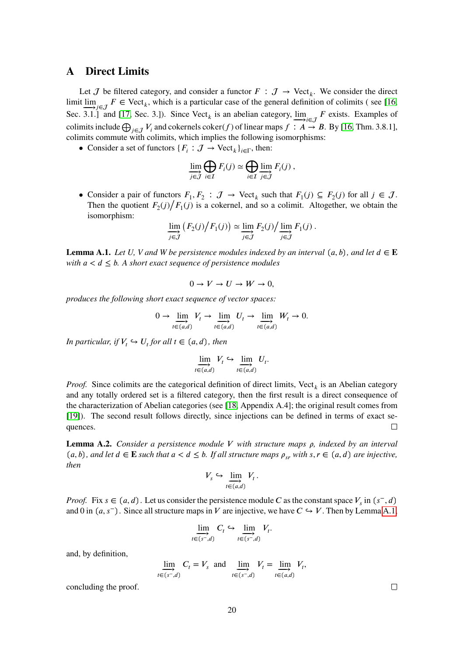### <span id="page-19-0"></span>**A Direct Limits**

Let  $J$  be filtered category, and consider a functor  $F : J \to \text{Vect}_k$ . We consider the direct limit  $\lim_{z \to 0^+} \frac{z}{z} \in \nabla$  vect<sub>*k*</sub>, which is a particular case of the general definition of colimits (see [\[16,](#page-18-14) Sec. 3.1.] and [\[17,](#page-18-15) Sec. 3.]). Since  $\text{Vect}_k$  is an abelian category,  $\lim_{k \to \infty} F$  exists. Examples of colimits include  $\bigoplus_{j\in\mathcal{J}}V_i$  and cokernels coker(*f*) of linear maps  $f: A\to B$ . By [\[16,](#page-18-14) Thm. 3.8.1], colimits commute with colimits, which implies the following isomorphisms:

• Consider a set of functors  $\{F_i : \mathcal{J} \to \text{Vect}_k\}_{i \in \Gamma}$ , then:

$$
\lim_{j \in \mathcal{J}} \bigoplus_{i \in I} F_i(j) \simeq \bigoplus_{i \in I} \lim_{j \in \mathcal{J}} F_i(j) ,
$$

• Consider a pair of functors  $F_1, F_2 : \mathcal{J} \to \text{Vect}_k$  such that  $F_1(j) \subseteq F_2(j)$  for all  $j \in \mathcal{J}$ .<br>There the previous  $F_2(j) / F_2(j)$  for all  $j \in \mathcal{J}$ . Then the quotient  $F_2(j)/F_1(j)$  is a cokernel, and so a colimit. Altogether, we obtain the isomorphism:

$$
\lim_{j \in \mathcal{J}} (F_2(j)/F_1(j)) \simeq \lim_{j \in \mathcal{J}} F_2(j)/\lim_{j \in \mathcal{J}} F_1(j).
$$

<span id="page-19-1"></span>**Lemma A.1.** *Let U*, *V* and *W* be persistence modules indexed by an interval  $(a, b)$ , and let  $d \in E$ *with*  $a < d \leq b$ . A short exact sequence of persistence modules

$$
0 \to V \to U \to W \to 0,
$$

*produces the following short exact sequence of vector spaces:*

$$
0 \to \varinjlim_{t \in (a,d)} V_t \to \varinjlim_{t \in (a,d)} U_t \to \varinjlim_{t \in (a,d)} W_t \to 0.
$$

*In particular, if*  $V_t \hookrightarrow U_t$  *for all*  $t \in (a, d)$ *, then* 

$$
\varinjlim_{t \in (a,d)} V_t \hookrightarrow \varinjlim_{t \in (a,d)} U_t.
$$

*Proof.* Since colimits are the categorical definition of direct limits,  $Vect_k$  is an Abelian category and any totally ordered set is a filtered category, then the first result is a direct consequence of the characterization of Abelian categories (see [\[18,](#page-18-16) Appendix A.4]; the original result comes from [\[19\]](#page-18-17)). The second result follows directly, since injections can be defined in terms of exact sequences.  $\Box$ 

<span id="page-19-2"></span>**Lemma A.2.** *Consider a persistence module V with structure maps ρ, indexed by an interval*  $(a, b)$ , and let  $d \in \mathbf{E}$  such that  $a < d \le b$ . If all structure maps  $\rho_{sr}$  with  $s, r \in (a, d)$  are injective, *then*

$$
V_s \hookrightarrow \varinjlim_{t \in (a,d)} V_t.
$$

*Proof.* Fix  $s \in (a, d)$ . Let us consider the persistence module *C* as the constant space  $V_s$  in  $(s^-, d)$ and 0 in  $(a, s^-)$ . Since all structure maps in *V* are injective, we have  $C \hookrightarrow V$ . Then by Lemma [A.1,](#page-19-1)

$$
\lim_{t \in (s^-,d)} C_t \hookrightarrow \lim_{t \in (s^-,d)} V_t.
$$

and, by definition,

$$
\lim_{t \in (s^-,d)} C_t = V_s \text{ and } \lim_{t \in (s^-,d)} V_t = \lim_{t \in (a,d)} V_t,
$$

concluding the proof.

 $\Box$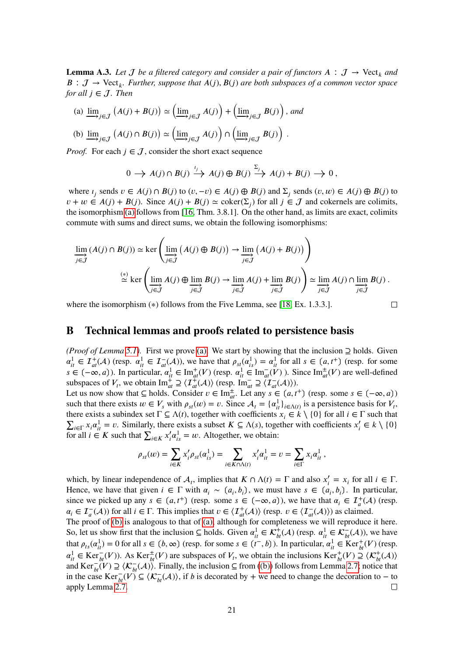**Lemma A.3.** Let *J* be a filtered category and consider a pair of functors  $A : J \rightarrow \text{Vect}_k$  and  $B: \mathcal{J} \to \text{Vect}_k$ *. Further, suppose that*  $A(j)$ *,*  $B(j)$  *are both subspaces of a common vector space for all*  $j \in J$ *. Then* 

<span id="page-20-1"></span>(a) 
$$
\lim_{j \in J} (A(j) + B(j)) \simeq (\lim_{j \in J} A(j)) + (\lim_{j \in J} B(j)),
$$
 and

(b) 
$$
\underline{\lim}_{j \in \mathcal{J}} (A(j) \cap B(j)) \simeq (\underline{\lim}_{j \in \mathcal{J}} A(j)) \cap (\underline{\lim}_{j \in \mathcal{J}} B(j))
$$

*Proof.* For each  $j \in J$ , consider the short exact sequence

$$
0 \to A(j) \cap B(j) \xrightarrow{i_j} A(j) \oplus B(j) \xrightarrow{\Sigma_j} A(j) + B(j) \to 0,
$$

*.*

 $\Box$ 

where  $i_j$  sends  $v \in A(j) \cap B(j)$  to  $(v, -v) \in A(j) \oplus B(j)$  and  $\Sigma_j$  sends  $(v, w) \in A(j) \oplus B(j)$  to  $v + w \in A(j) + B(j)$ . Since  $A(j) + B(j) \simeq \text{coker}(\Sigma_j)$  for all  $j \in \mathcal{J}$  and cokernels are colimits, the isomorphism [\(a\)](#page-20-1) follows from [\[16,](#page-18-14) Thm. 3.8.1]. On the other hand, as limits are exact, colimits commute with sums and direct sums, we obtain the following isomorphisms:

$$
\underline{\lim}_{j \in \mathcal{J}} (A(j) \cap B(j)) \simeq \ker \left( \underline{\lim}_{j \in \mathcal{J}} (A(j) \oplus B(j)) \to \underline{\lim}_{j \in \mathcal{J}} (A(j) + B(j)) \right)
$$
\n
$$
\stackrel{(*)}{\simeq} \ker \left( \underline{\lim}_{j \in \mathcal{J}} A(j) \oplus \underline{\lim}_{j \in \mathcal{J}} B(j) \to \underline{\lim}_{j \in \mathcal{J}} A(j) + \underline{\lim}_{j \in \mathcal{J}} B(j) \right) \simeq \underline{\lim}_{j \in \mathcal{J}} A(j) \cap \underline{\lim}_{j \in \mathcal{J}} B(j) .
$$

where the isomorphism (\*) follows from the Five Lemma, see [\[18,](#page-18-16) Ex. 1.3.3.].

### <span id="page-20-0"></span>**B Technical lemmas and proofs related to persistence basis**

*(Proof of Lemma [5.1\)](#page-14-0).* First we prove [\(a\).](#page-14-2) We start by showing that the inclusion *⊇* holds. Given  $\alpha_{it}^1 \in \mathcal{I}_{at}^+(\mathcal{A})$  (resp.  $\alpha_{it}^1 \in \mathcal{I}_{at}^-(\mathcal{A})$ ), we have that  $\rho_{st}(\alpha_{is}^1) = \alpha_{it}^1$  for all  $s \in (a, t^+)$  (resp. for some  $\vec{a}$  ∈ (–∞, *a*)). In particular,  $\alpha_{it}^1$  ∈ Im<sub> $at^+$ </sub>(*V*) (resp.  $\alpha_{it}^1$  ∈ Im<sub> $at^-$ </sub>(*V*)). Since Im $_{at}^{\pm}(V)$  are well-defined subspaces of  $V_t$ , we obtain  $\text{Im}^{\frac{1}{2}}_{at} \supseteq \langle \mathcal{I}^{\pm}_{at}(A) \rangle$  (resp.  $\text{Im}^{-}_{at} \supseteq \langle \mathcal{I}^{-}_{at}(A) \rangle$ ).

Let us now show that  $\subseteq$  holds. Consider  $v \in \text{Im}^{\pm}_{at}$ . Let any  $s \in (a, t^+)$  (resp. some  $s \in (-\infty, a)$ ) such that there exists  $w \in V_s$  with  $\rho_{st}(w) = v$ . Since  $\mathcal{A}_t = {\alpha_{it}^1}_{i \in \Lambda(t)}$  is a persistence basis for  $V_t$ , there exists a subindex set  $\Gamma \subseteq \Lambda(t)$ , together with coefficients  $x_i \in k \setminus \{0\}$  for all  $i \in \Gamma$  such that  $\sum_{i \in \Gamma} x_i \alpha_{it}^1 = v$ . Similarly, there exists a subset  $K \subseteq \Lambda(s)$ , together with coefficients  $x_i' \in k \setminus \{0\}$  $\sum_{i \in I} \sum_{i} \alpha_i a_{ij}$   $\in$  *Z* is such that  $\sum_{i \in K} x_i' a_{is}^{\dagger} = w$ . Altogether, we obtain:

$$
\rho_{st}(w) = \sum_{i \in K} x'_i \rho_{st}(\alpha_{is}^1) = \sum_{i \in K \cap \Lambda(t)} x'_i \alpha_{it}^1 = v = \sum_{i \in \Gamma} x_i \alpha_{it}^1,
$$

which, by linear independence of  $A_t$ , implies that  $K \cap \Lambda(t) = \Gamma$  and also  $x'_i = x_i$  for all  $i \in \Gamma$ . Hence, we have that given  $i \in \Gamma$  with  $\alpha_i \sim (a_i, b_i)$ , we must have  $s \in (a_i, b_i)$ . In particular, since we picked up any  $s \in (a, t^+)$  (resp. some  $s \in (-\infty, a)$ ), we have that  $\alpha_i \in \mathcal{I}^+_a(\mathcal{A})$  (resp.  $\alpha_i \in \mathcal{I}^-_a(\mathcal{A})$  for all  $i \in \Gamma$ . This implies that  $v \in \langle \mathcal{I}^+_{at}(\mathcal{A}) \rangle$  (resp.  $v \in \langle \mathcal{I}^-_{at}(\mathcal{A}) \rangle$ ) as claimed.

The proof of [\(b\)](#page-14-3) is analogous to that of [\(a\),](#page-14-2) although for completeness we will reproduce it here. So, let us show first that the inclusion  $\subseteq$  holds. Given  $\alpha_{it}^1 \in \mathcal{K}^+_{bt}(\mathcal{A})$  (resp.  $\alpha_{it}^1 \in \mathcal{K}^-_{bt}(\mathcal{A})$ ), we have that  $\rho_{ts}(\alpha_{it}^1) = 0$  for all  $s \in (b, \infty)$  (resp. for some  $s \in (t^-, b)$ ). In particular,  $\alpha_{it}^1 \in \text{Ker}_{bt}^+(V)$  (resp.  $\alpha_{it}^{\perp} \in \text{Ker}_{bt}^{-}(V)$ . As  $\text{Ker}_{bt}^{+}(V)$  are subspaces of  $V_t$ , we obtain the inclusions  $\text{Ker}_{bt}^{+}(V) \supseteq \langle \mathcal{K}_{bt}^{+}(\mathcal{A}) \rangle$ and  $\text{Ker}_{bt}^{-\alpha}(V) \supseteq \langle \mathcal{K}_{bt}^{-}(A) \rangle$ . Finally, the inclusion ⊆ from [\(\(b\)\)](#page-14-3) follows from Lemma [2.7;](#page-5-0) notice that in the case  $\text{Ker}_{bt}^{-}(\overrightarrow{V}) \subseteq \langle \mathcal{K}_{bt}^{-}(\mathcal{A}) \rangle$ , if *b* is decorated by + we need to change the decoration to − to apply Lemma [2.7.](#page-5-0)